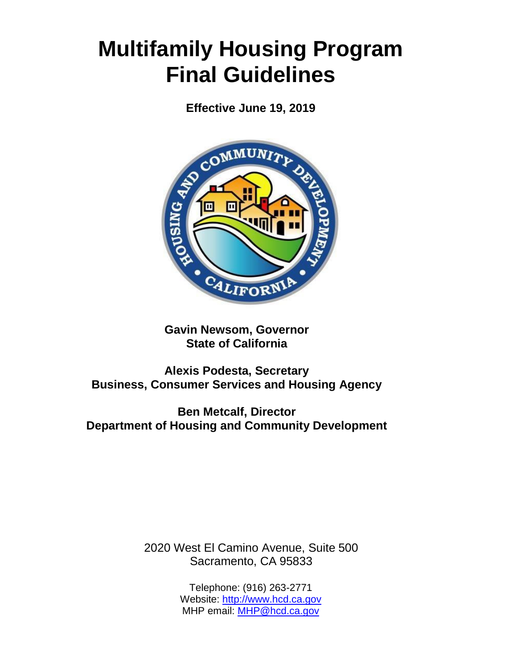# **Multifamily Housing Program Final Guidelines**

**Effective June 19, 2019**



**Gavin Newsom, Governor State of California**

**Alexis Podesta, Secretary Business, Consumer Services and Housing Agency**

**Ben Metcalf, Director Department of Housing and Community Development**

> 2020 West El Camino Avenue, Suite 500 Sacramento, CA 95833

> > Telephone: (916) 263-2771 Website: [http://www.hcd.ca.gov](http://www.hcd.ca.gov/) MHP email: [MHP@hcd.ca.gov](mailto:MHP@hcd.ca.gov)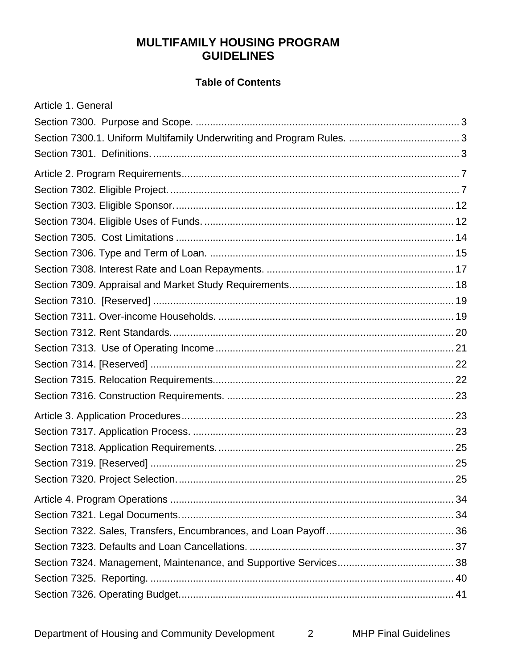# **MULTIFAMILY HOUSING PROGRAM GUIDELINES**

## **Table of Contents**

| Article 1. General |  |
|--------------------|--|
|                    |  |
|                    |  |
|                    |  |
|                    |  |
|                    |  |
|                    |  |
|                    |  |
|                    |  |
|                    |  |
|                    |  |
|                    |  |
|                    |  |
|                    |  |
|                    |  |
|                    |  |
|                    |  |
|                    |  |
|                    |  |
|                    |  |
|                    |  |
|                    |  |
|                    |  |
|                    |  |
|                    |  |
|                    |  |
|                    |  |
|                    |  |
|                    |  |
|                    |  |
|                    |  |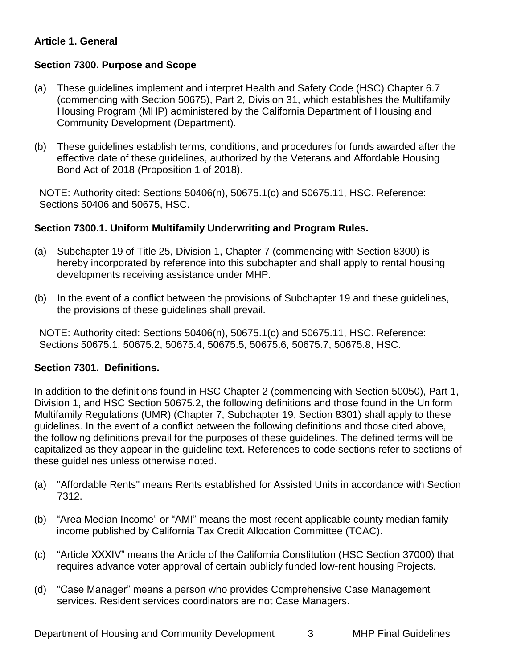# **Article 1. General**

# **Section 7300. Purpose and Scope**

- (a) These guidelines implement and interpret Health and Safety Code (HSC) Chapter 6.7 (commencing with Section 50675), Part 2, Division 31, which establishes the Multifamily Housing Program (MHP) administered by the California Department of Housing and Community Development (Department).
- (b) These guidelines establish terms, conditions, and procedures for funds awarded after the effective date of these guidelines, authorized by the Veterans and Affordable Housing Bond Act of 2018 (Proposition 1 of 2018).

NOTE: Authority cited: Sections 50406(n), 50675.1(c) and 50675.11, HSC. Reference: Sections 50406 and 50675, HSC.

## <span id="page-2-1"></span>**Section 7300.1. Uniform Multifamily Underwriting and Program Rules.**

- (a) Subchapter 19 of Title 25, Division 1, Chapter 7 (commencing with Section 8300) is hereby incorporated by reference into this subchapter and shall apply to rental housing . developments receiving assistance under MHP
- (b) In the event of a conflict between the provisions of Subchapter 19 and these guidelines, the provisions of these guidelines shall prevail.

NOTE: Authority cited: Sections 50406(n), 50675.1(c) and 50675.11, HSC. Reference: Sections 50675.1, 50675.2, 50675.4, 50675.5, 50675.6, 50675.7, 50675.8, HSC.

# <span id="page-2-0"></span>**Section 7301. Definitions.**

In addition to the definitions found in HSC Chapter 2 (commencing with Section 50050), Part 1, Division 1, and HSC Section 50675.2, the following definitions and those found in the Uniform Multifamily Regulations (UMR) (Chapter 7, Subchapter 19, Section 8301) shall apply to these guidelines. In the event of a conflict between the following definitions and those cited above, the following definitions prevail for the purposes of these guidelines. The defined terms will be capitalized as they appear in the guideline text. References to code sections refer to sections of these guidelines unless otherwise noted.

- (a) "Affordable Rents" means Rents established for Assisted Units in accordance with Section 7312.
- (b) "Area Median Income" or "AMI" means the most recent applicable county median family income published by California Tax Credit Allocation Committee (TCAC).
- (c) "Article XXXIV" means the Article of the California Constitution (HSC Section 37000) that requires advance voter approval of certain publicly funded low-rent housing Projects.
- (d) "Case Manager" means a person who provides Comprehensive Case Management services. Resident services coordinators are not Case Managers.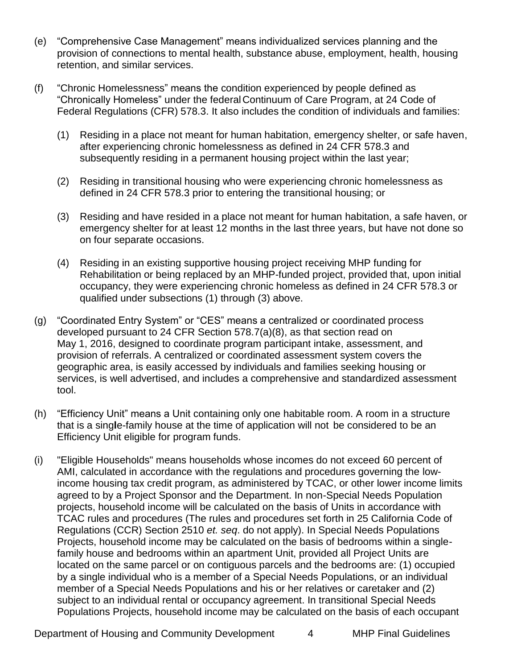- (e) "Comprehensive Case Management" means individualized services planning and the provision of connections to mental health, substance abuse, employment, health, housing retention, and similar services.
- (f) "Chronic Homelessness" means the condition experienced by people defined as "Chronically Homeless" under the federalContinuum of Care Program, at 24 Code of Federal Regulations (CFR) 578.3. It also includes the condition of individuals and families:
	- (1) Residing in a place not meant for human habitation, emergency shelter, or safe haven, after experiencing chronic homelessness as defined in 24 CFR 578.3 and subsequently residing in a permanent housing project within the last year;
	- (2) Residing in transitional housing who were experiencing chronic homelessness as defined in 24 CFR 578.3 prior to entering the transitional housing; or
	- (3) Residing and have resided in a place not meant for human habitation, a safe haven, or emergency shelter for at least 12 months in the last three years, but have not done so on four separate occasions.
	- (4) Residing in an existing supportive housing project receiving MHP funding for Rehabilitation or being replaced by an MHP-funded project, provided that, upon initial occupancy, they were experiencing chronic homeless as defined in 24 CFR 578.3 or qualified under subsections (1) through (3) above.
- (g) "Coordinated Entry System" or "CES" means a centralized or coordinated process developed pursuant to 24 CFR Section 578.7(a)(8), as that section read on May 1, 2016, designed to coordinate program participant intake, assessment, and provision of referrals. A centralized or coordinated assessment system covers the geographic area, is easily accessed by individuals and families seeking housing or services, is well advertised, and includes a comprehensive and standardized assessment tool.
- (h) "Efficiency Unit" means a Unit containing only one habitable room. A room in a structure that is a sing**l**e-family house at the time of application will not be considered to be an Efficiency Unit eligible for program funds.
- (i) "Eligible Households" means households whose incomes do not exceed 60 percent of AMI, calculated in accordance with the regulations and procedures governing the lowincome housing tax credit program, as administered by TCAC, or other lower income limits agreed to by a Project Sponsor and the Department. In non-Special Needs Population projects, household income will be calculated on the basis of Units in accordance with TCAC rules and procedures (The rules and procedures set forth in 25 California Code of Regulations (CCR) Section 2510 *et. seq*. do not apply). In Special Needs Populations Projects, household income may be calculated on the basis of bedrooms within a singlefamily house and bedrooms within an apartment Unit, provided all Project Units are located on the same parcel or on contiguous parcels and the bedrooms are: (1) occupied by a single individual who is a member of a Special Needs Populations, or an individual member of a Special Needs Populations and his or her relatives or caretaker and (2) subject to an individual rental or occupancy agreement. In transitional Special Needs Populations Projects, household income may be calculated on the basis of each occupant

Department of Housing and Community Development 4 MHP Final Guidelines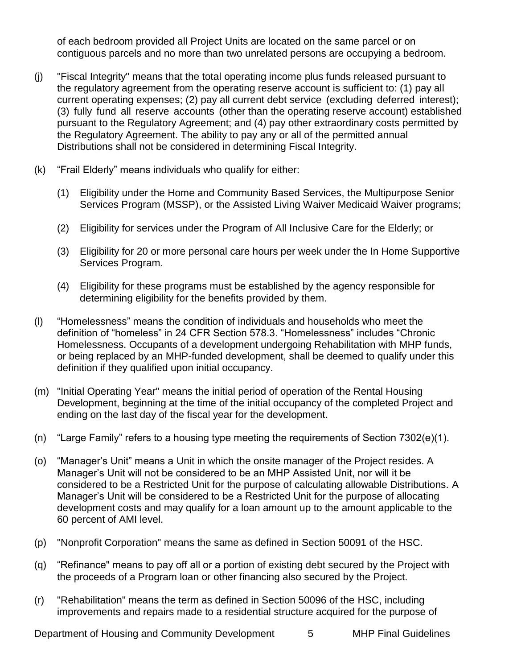of each bedroom provided all Project Units are located on the same parcel or on contiguous parcels and no more than two unrelated persons are occupying a bedroom.

- (j) "Fiscal Integrity" means that the total operating income plus funds released pursuant to the regulatory agreement from the operating reserve account is sufficient to: (1) pay all current operating expenses; (2) pay all current debt service (excluding deferred interest); (3) fully fund all reserve accounts (other than the operating reserve account) established pursuant to the Regulatory Agreement; and (4) pay other extraordinary costs permitted by the Regulatory Agreement. The ability to pay any or all of the permitted annual Distributions shall not be considered in determining Fiscal Integrity.
- (k) "Frail Elderly" means individuals who qualify for either:
	- (1) Eligibility under the Home and Community Based Services, the Multipurpose Senior Services Program (MSSP), or the Assisted Living Waiver Medicaid Waiver programs;
	- (2) Eligibility for services under the Program of All Inclusive Care for the Elderly; or
	- (3) Eligibility for 20 or more personal care hours per week under the In Home Supportive Services Program.
	- (4) Eligibility for these programs must be established by the agency responsible for determining eligibility for the benefits provided by them.
- (l) "Homelessness" means the condition of individuals and households who meet the definition of "homeless" in 24 CFR Section 578.3. "Homelessness" includes "Chronic Homelessness. Occupants of a development undergoing Rehabilitation with MHP funds, or being replaced by an MHP-funded development, shall be deemed to qualify under this definition if they qualified upon initial occupancy.
- (m) "Initial Operating Year" means the initial period of operation of the Rental Housing Development, beginning at the time of the initial occupancy of the completed Project and ending on the last day of the fiscal year for the development.
- (n) "Large Family" refers to a housing type meeting the requirements of Section 7302(e)(1).
- (o) "Manager's Unit" means a Unit in which the onsite manager of the Project resides. A Manager's Unit will not be considered to be an MHP Assisted Unit, nor will it be considered to be a Restricted Unit for the purpose of calculating allowable Distributions. A Manager's Unit will be considered to be a Restricted Unit for the purpose of allocating development costs and may qualify for a loan amount up to the amount applicable to the 60 percent of AMI level.
- (p) "Nonprofit Corporation" means the same as defined in Section 50091 of the HSC.
- (q) "Refinance" means to pay off all or a portion of existing debt secured by the Project with the proceeds of a Program loan or other financing also secured by the Project.
- (r) "Rehabilitation" means the term as defined in Section 50096 of the HSC, including improvements and repairs made to a residential structure acquired for the purpose of

Department of Housing and Community Development 5 MHP Final Guidelines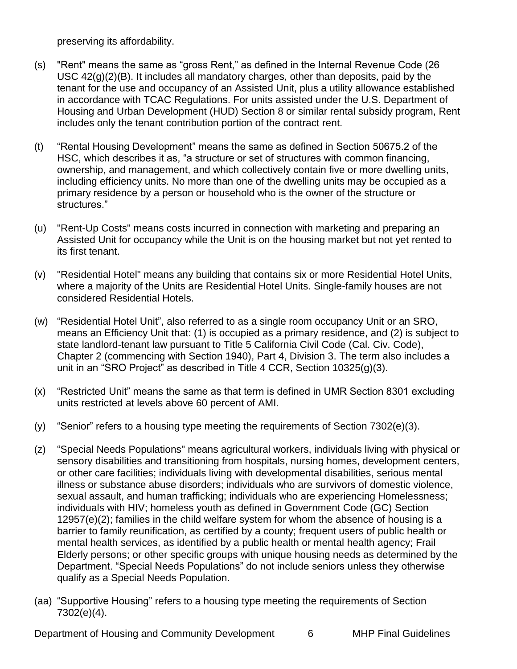preserving its affordability.

- (s) "Rent" means the same as "gross Rent," as defined in the Internal Revenue Code (26 USC  $42(g)(2)(B)$ . It includes all mandatory charges, other than deposits, paid by the tenant for the use and occupancy of an Assisted Unit, plus a utility allowance established in accordance with TCAC Regulations. For units assisted under the U.S. Department of Housing and Urban Development (HUD) Section 8 or similar rental subsidy program, Rent includes only the tenant contribution portion of the contract rent.
- (t) "Rental Housing Development" means the same as defined in Section 50675.2 of the HSC, which describes it as, "a structure or set of structures with common financing, ownership, and management, and which collectively contain five or more dwelling units, including efficiency units. No more than one of the dwelling units may be occupied as a primary residence by a person or household who is the owner of the structure or structures."
- (u) "Rent-Up Costs" means costs incurred in connection with marketing and preparing an Assisted Unit for occupancy while the Unit is on the housing market but not yet rented to its first tenant.
- (v) "Residential Hotel" means any building that contains six or more Residential Hotel Units, where a majority of the Units are Residential Hotel Units. Single-family houses are not considered Residential Hotels.
- (w) "Residential Hotel Unit", also referred to as a single room occupancy Unit or an SRO, means an Efficiency Unit that: (1) is occupied as a primary residence, and (2) is subject to state landlord-tenant law pursuant to Title 5 California Civil Code (Cal. Civ. Code), Chapter 2 (commencing with Section 1940), Part 4, Division 3. The term also includes a unit in an "SRO Project" as described in Title 4 CCR, Section 10325(g)(3).
- (x) "Restricted Unit" means the same as that term is defined in UMR Section 8301 excluding units restricted at levels above 60 percent of AMI.
- (y) "Senior" refers to a housing type meeting the requirements of Section 7302(e)(3).
- (z) "Special Needs Populations" means agricultural workers, individuals living with physical or sensory disabilities and transitioning from hospitals, nursing homes, development centers, or other care facilities; individuals living with developmental disabilities, serious mental illness or substance abuse disorders; individuals who are survivors of domestic violence, sexual assault, and human trafficking; individuals who are experiencing Homelessness; individuals with HIV; homeless youth as defined in Government Code (GC) Section 12957(e)(2); families in the child welfare system for whom the absence of housing is a barrier to family reunification, as certified by a county; frequent users of public health or mental health services, as identified by a public health or mental health agency; Frail Elderly persons; or other specific groups with unique housing needs as determined by the Department. "Special Needs Populations" do not include seniors unless they otherwise qualify as a Special Needs Population.
- (aa) "Supportive Housing" refers to a housing type meeting the requirements of Section 7302(e)(4).

Department of Housing and Community Development 6 MHP Final Guidelines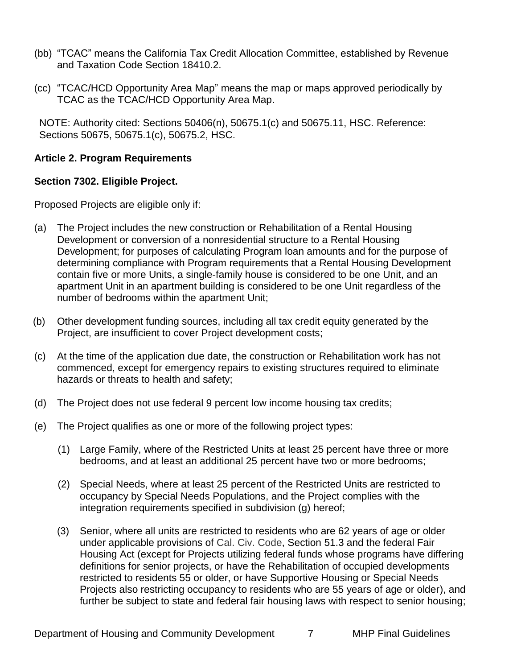- (bb) "TCAC" means the California Tax Credit Allocation Committee, established by Revenue and Taxation Code Section 18410.2.
- (cc) "TCAC/HCD Opportunity Area Map" means the map or maps approved periodically by TCAC as the TCAC/HCD Opportunity Area Map.

NOTE: Authority cited: Sections 50406(n), 50675.1(c) and 50675.11, HSC. Reference: Sections 50675, 50675.1(c), 50675.2, HSC.

# <span id="page-6-0"></span>**Article 2. Program Requirements**

#### <span id="page-6-1"></span>**Section 7302. Eligible Project.**

Proposed Projects are eligible only if:

- (a) The Project includes the new construction or Rehabilitation of a Rental Housing Development or conversion of a nonresidential structure to a Rental Housing Development; for purposes of calculating Program loan amounts and for the purpose of determining compliance with Program requirements that a Rental Housing Development contain five or more Units, a single-family house is considered to be one Unit, and an apartment Unit in an apartment building is considered to be one Unit regardless of the number of bedrooms within the apartment Unit;
- (b) Other development funding sources, including all tax credit equity generated by the Project, are insufficient to cover Project development costs;
- (c) At the time of the application due date, the construction or Rehabilitation work has not commenced, except for emergency repairs to existing structures required to eliminate hazards or threats to health and safety;
- (d) The Project does not use federal 9 percent low income housing tax credits;
- (e) The Project qualifies as one or more of the following project types:
	- (1) Large Family, where of the Restricted Units at least 25 percent have three or more bedrooms, and at least an additional 25 percent have two or more bedrooms;
	- (2) Special Needs, where at least 25 percent of the Restricted Units are restricted to occupancy by Special Needs Populations, and the Project complies with the integration requirements specified in subdivision (g) hereof;
	- (3) Senior, where all units are restricted to residents who are 62 years of age or older under applicable provisions of Cal. Civ. Code, Section 51.3 and the federal Fair Housing Act (except for Projects utilizing federal funds whose programs have differing definitions for senior projects, or have the Rehabilitation of occupied developments restricted to residents 55 or older, or have Supportive Housing or Special Needs Projects also restricting occupancy to residents who are 55 years of age or older), and further be subject to state and federal fair housing laws with respect to senior housing;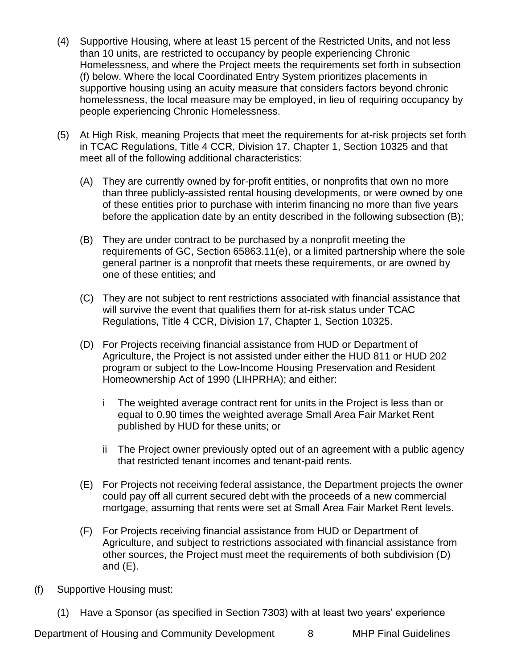- (4) Supportive Housing, where at least 15 percent of the Restricted Units, and not less than 10 units, are restricted to occupancy by people experiencing Chronic Homelessness, and where the Project meets the requirements set forth in subsection (f) below. Where the local Coordinated Entry System prioritizes placements in supportive housing using an acuity measure that considers factors beyond chronic homelessness, the local measure may be employed, in lieu of requiring occupancy by people experiencing Chronic Homelessness.
- (5) At High Risk, meaning Projects that meet the requirements for at-risk projects set forth in TCAC Regulations, Title 4 CCR, Division 17, Chapter 1, Section 10325 and that meet all of the following additional characteristics:
	- (A) They are currently owned by for-profit entities, or nonprofits that own no more than three publicly-assisted rental housing developments, or were owned by one of these entities prior to purchase with interim financing no more than five years before the application date by an entity described in the following subsection (B);
	- (B) They are under contract to be purchased by a nonprofit meeting the requirements of GC, Section 65863.11(e), or a limited partnership where the sole general partner is a nonprofit that meets these requirements, or are owned by one of these entities; and
	- (C) They are not subject to rent restrictions associated with financial assistance that will survive the event that qualifies them for at-risk status under TCAC Regulations, Title 4 CCR, Division 17, Chapter 1, Section 10325.
	- (D) For Projects receiving financial assistance from HUD or Department of Agriculture, the Project is not assisted under either the HUD 811 or HUD 202 program or subject to the Low-Income Housing Preservation and Resident Homeownership Act of 1990 (LIHPRHA); and either:
		- i The weighted average contract rent for units in the Project is less than or equal to 0.90 times the weighted average Small Area Fair Market Rent published by HUD for these units; or
		- ii The Project owner previously opted out of an agreement with a public agency that restricted tenant incomes and tenant-paid rents.
	- (E) For Projects not receiving federal assistance, the Department projects the owner could pay off all current secured debt with the proceeds of a new commercial mortgage, assuming that rents were set at Small Area Fair Market Rent levels.
	- (F) For Projects receiving financial assistance from HUD or Department of Agriculture, and subject to restrictions associated with financial assistance from other sources, the Project must meet the requirements of both subdivision (D) and  $(E)$ .
- (f) Supportive Housing must:
	- (1) Have a Sponsor (as specified in Section 7303) with at least two years' experience

Department of Housing and Community Development 8 MHP Final Guidelines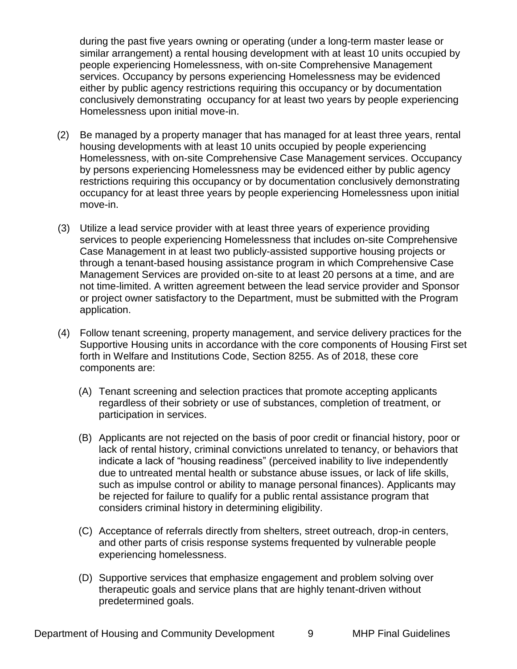during the past five years owning or operating (under a long-term master lease or similar arrangement) a rental housing development with at least 10 units occupied by people experiencing Homelessness, with on-site Comprehensive Management services. Occupancy by persons experiencing Homelessness may be evidenced either by public agency restrictions requiring this occupancy or by documentation conclusively demonstrating occupancy for at least two years by people experiencing Homelessness upon initial move-in.

- (2) Be managed by a property manager that has managed for at least three years, rental housing developments with at least 10 units occupied by people experiencing Homelessness, with on-site Comprehensive Case Management services. Occupancy by persons experiencing Homelessness may be evidenced either by public agency restrictions requiring this occupancy or by documentation conclusively demonstrating occupancy for at least three years by people experiencing Homelessness upon initial move-in.
- (3) Utilize a lead service provider with at least three years of experience providing services to people experiencing Homelessness that includes on-site Comprehensive Case Management in at least two publicly-assisted supportive housing projects or through a tenant-based housing assistance program in which Comprehensive Case Management Services are provided on-site to at least 20 persons at a time, and are not time-limited. A written agreement between the lead service provider and Sponsor or project owner satisfactory to the Department, must be submitted with the Program application.
- (4) Follow tenant screening, property management, and service delivery practices for the Supportive Housing units in accordance with the core components of Housing First set forth in Welfare and Institutions Code, Section 8255. As of 2018, these core components are:
	- (A) Tenant screening and selection practices that promote accepting applicants regardless of their sobriety or use of substances, completion of treatment, or participation in services.
	- (B) Applicants are not rejected on the basis of poor credit or financial history, poor or lack of rental history, criminal convictions unrelated to tenancy, or behaviors that indicate a lack of "housing readiness" (perceived inability to live independently due to untreated mental health or substance abuse issues, or lack of life skills, such as impulse control or ability to manage personal finances). Applicants may be rejected for failure to qualify for a public rental assistance program that considers criminal history in determining eligibility.
	- (C) Acceptance of referrals directly from shelters, street outreach, drop-in centers, and other parts of crisis response systems frequented by vulnerable people experiencing homelessness.
	- (D) Supportive services that emphasize engagement and problem solving over therapeutic goals and service plans that are highly tenant-driven without predetermined goals.

Department of Housing and Community Development 9 MHP Final Guidelines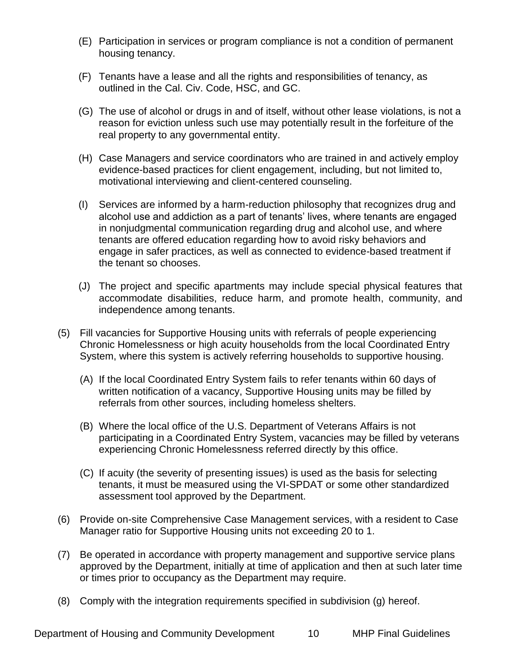- (E) Participation in services or program compliance is not a condition of permanent housing tenancy.
- (F) Tenants have a lease and all the rights and responsibilities of tenancy, as outlined in the Cal. Civ. Code, HSC, and GC.
- (G) The use of alcohol or drugs in and of itself, without other lease violations, is not a reason for eviction unless such use may potentially result in the forfeiture of the real property to any governmental entity.
- (H) Case Managers and service coordinators who are trained in and actively employ evidence-based practices for client engagement, including, but not limited to, motivational interviewing and client-centered counseling.
- (I) Services are informed by a harm-reduction philosophy that recognizes drug and alcohol use and addiction as a part of tenants' lives, where tenants are engaged in nonjudgmental communication regarding drug and alcohol use, and where tenants are offered education regarding how to avoid risky behaviors and engage in safer practices, as well as connected to evidence-based treatment if the tenant so chooses.
- (J) The project and specific apartments may include special physical features that accommodate disabilities, reduce harm, and promote health, community, and independence among tenants.
- (5) Fill vacancies for Supportive Housing units with referrals of people experiencing Chronic Homelessness or high acuity households from the local Coordinated Entry System, where this system is actively referring households to supportive housing.
	- (A) If the local Coordinated Entry System fails to refer tenants within 60 days of written notification of a vacancy, Supportive Housing units may be filled by referrals from other sources, including homeless shelters.
	- (B) Where the local office of the U.S. Department of Veterans Affairs is not participating in a Coordinated Entry System, vacancies may be filled by veterans experiencing Chronic Homelessness referred directly by this office.
	- (C) If acuity (the severity of presenting issues) is used as the basis for selecting tenants, it must be measured using the VI-SPDAT or some other standardized assessment tool approved by the Department.
- (6) Provide on-site Comprehensive Case Management services, with a resident to Case Manager ratio for Supportive Housing units not exceeding 20 to 1.
- (7) Be operated in accordance with property management and supportive service plans approved by the Department, initially at time of application and then at such later time or times prior to occupancy as the Department may require.
- (8) Comply with the integration requirements specified in subdivision (g) hereof.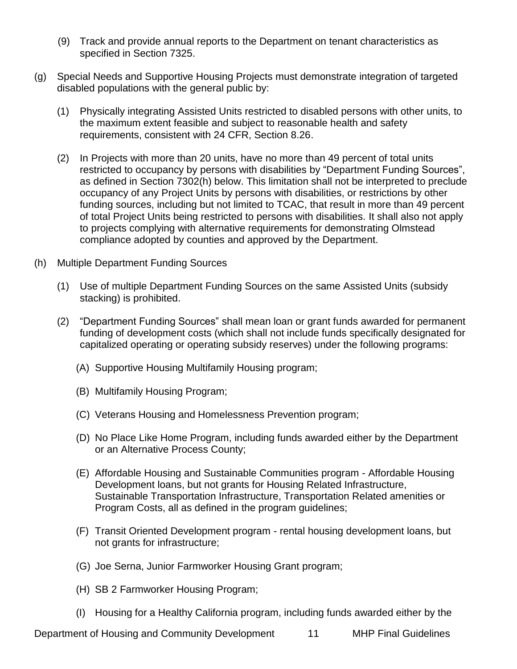- (9) Track and provide annual reports to the Department on tenant characteristics as specified in Section 7325.
- (g) Special Needs and Supportive Housing Projects must demonstrate integration of targeted disabled populations with the general public by:
	- (1) Physically integrating Assisted Units restricted to disabled persons with other units, to the maximum extent feasible and subject to reasonable health and safety requirements, consistent with 24 CFR, Section 8.26.
	- (2) In Projects with more than 20 units, have no more than 49 percent of total units restricted to occupancy by persons with disabilities by "Department Funding Sources", as defined in Section 7302(h) below. This limitation shall not be interpreted to preclude occupancy of any Project Units by persons with disabilities, or restrictions by other funding sources, including but not limited to TCAC, that result in more than 49 percent of total Project Units being restricted to persons with disabilities. It shall also not apply to projects complying with alternative requirements for demonstrating Olmstead compliance adopted by counties and approved by the Department.
- (h) Multiple Department Funding Sources
	- (1) Use of multiple Department Funding Sources on the same Assisted Units (subsidy stacking) is prohibited.
	- (2) "Department Funding Sources" shall mean loan or grant funds awarded for permanent funding of development costs (which shall not include funds specifically designated for capitalized operating or operating subsidy reserves) under the following programs:
		- (A) Supportive Housing Multifamily Housing program;
		- (B) Multifamily Housing Program;
		- (C) Veterans Housing and Homelessness Prevention program;
		- (D) No Place Like Home Program, including funds awarded either by the Department or an Alternative Process County;
		- (E) Affordable Housing and Sustainable Communities program Affordable Housing Development loans, but not grants for Housing Related Infrastructure, Sustainable Transportation Infrastructure, Transportation Related amenities or Program Costs, all as defined in the program guidelines;
		- (F) Transit Oriented Development program rental housing development loans, but not grants for infrastructure;
		- (G) Joe Serna, Junior Farmworker Housing Grant program;
		- (H) SB 2 Farmworker Housing Program;
		- (I) Housing for a Healthy California program, including funds awarded either by the

Department of Housing and Community Development 11 MHP Final Guidelines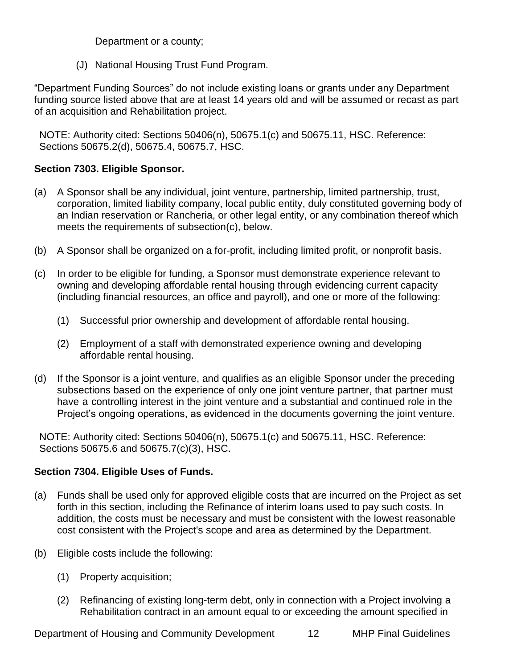Department or a county;

(J) National Housing Trust Fund Program.

"Department Funding Sources" do not include existing loans or grants under any Department funding source listed above that are at least 14 years old and will be assumed or recast as part of an acquisition and Rehabilitation project.

NOTE: Authority cited: Sections 50406(n), 50675.1(c) and 50675.11, HSC. Reference: Sections 50675.2(d), 50675.4, 50675.7, HSC.

# <span id="page-11-0"></span>**Section 7303. Eligible Sponsor.**

- (a) A Sponsor shall be any individual, joint venture, partnership, limited partnership, trust, corporation, limited liability company, local public entity, duly constituted governing body of an Indian reservation or Rancheria, or other legal entity, or any combination thereof which meets the requirements of subsection(c), below.
- (b) A Sponsor shall be organized on a for-profit, including limited profit, or nonprofit basis.
- (c) In order to be eligible for funding, a Sponsor must demonstrate experience relevant to owning and developing affordable rental housing through evidencing current capacity (including financial resources, an office and payroll), and one or more of the following:
	- (1) Successful prior ownership and development of affordable rental housing.
	- (2) Employment of a staff with demonstrated experience owning and developing affordable rental housing.
- (d) If the Sponsor is a joint venture, and qualifies as an eligible Sponsor under the preceding subsections based on the experience of only one joint venture partner, that partner must have a controlling interest in the joint venture and a substantial and continued role in the Project's ongoing operations, as evidenced in the documents governing the joint venture.

NOTE: Authority cited: Sections 50406(n), 50675.1(c) and 50675.11, HSC. Reference: Sections 50675.6 and 50675.7(c)(3), HSC.

# <span id="page-11-1"></span>**Section 7304. Eligible Uses of Funds.**

- (a) Funds shall be used only for approved eligible costs that are incurred on the Project as set forth in this section, including the Refinance of interim loans used to pay such costs. In addition, the costs must be necessary and must be consistent with the lowest reasonable cost consistent with the Project's scope and area as determined by the Department.
- (b) Eligible costs include the following:
	- (1) Property acquisition;
	- (2) Refinancing of existing long-term debt, only in connection with a Project involving a Rehabilitation contract in an amount equal to or exceeding the amount specified in

Department of Housing and Community Development 12 MHP Final Guidelines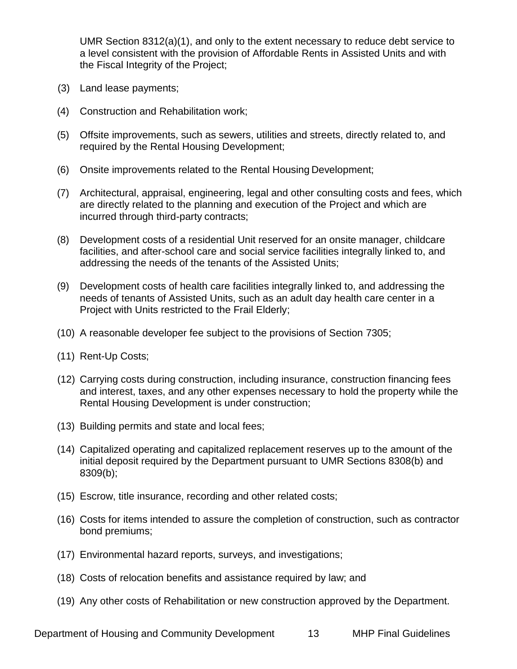UMR Section 8312(a)(1), and only to the extent necessary to reduce debt service to a level consistent with the provision of Affordable Rents in Assisted Units and with the Fiscal Integrity of the Project;

- (3) Land lease payments;
- (4) Construction and Rehabilitation work;
- (5) Offsite improvements, such as sewers, utilities and streets, directly related to, and required by the Rental Housing Development;
- (6) Onsite improvements related to the Rental Housing Development;
- (7) Architectural, appraisal, engineering, legal and other consulting costs and fees, which are directly related to the planning and execution of the Project and which are incurred through third-party contracts;
- (8) Development costs of a residential Unit reserved for an onsite manager, childcare facilities, and after-school care and social service facilities integrally linked to, and addressing the needs of the tenants of the Assisted Units;
- (9) Development costs of health care facilities integrally linked to, and addressing the needs of tenants of Assisted Units, such as an adult day health care center in a Project with Units restricted to the Frail Elderly;
- (10) A reasonable developer fee subject to the provisions of Section 7305;
- (11) Rent-Up Costs;
- (12) Carrying costs during construction, including insurance, construction financing fees and interest, taxes, and any other expenses necessary to hold the property while the Rental Housing Development is under construction;
- (13) Building permits and state and local fees;
- (14) Capitalized operating and capitalized replacement reserves up to the amount of the initial deposit required by the Department pursuant to UMR Sections 8308(b) and 8309(b);
- (15) Escrow, title insurance, recording and other related costs;
- (16) Costs for items intended to assure the completion of construction, such as contractor bond premiums;
- (17) Environmental hazard reports, surveys, and investigations;
- (18) Costs of relocation benefits and assistance required by law; and
- (19) Any other costs of Rehabilitation or new construction approved by the Department.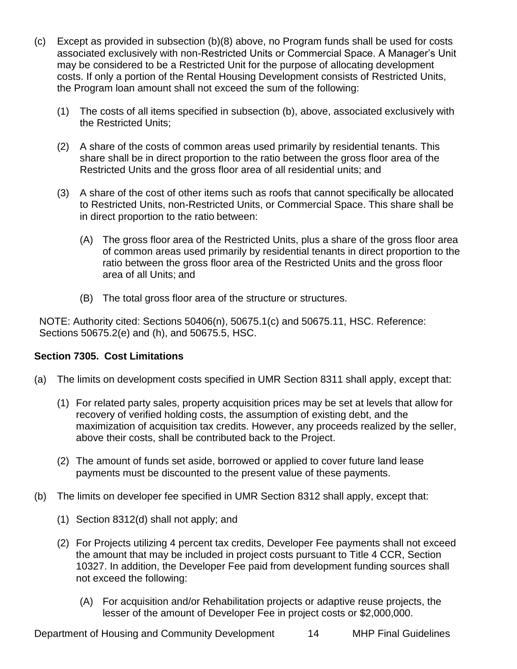- (c) Except as provided in subsection (b)(8) above, no Program funds shall be used for costs associated exclusively with non-Restricted Units or Commercial Space. A Manager's Unit may be considered to be a Restricted Unit for the purpose of allocating development costs. If only a portion of the Rental Housing Development consists of Restricted Units, the Program loan amount shall not exceed the sum of the following:
	- (1) The costs of all items specified in subsection (b), above, associated exclusively with the Restricted Units;
	- (2) A share of the costs of common areas used primarily by residential tenants. This share shall be in direct proportion to the ratio between the gross floor area of the Restricted Units and the gross floor area of all residential units; and
	- (3) A share of the cost of other items such as roofs that cannot specifically be allocated to Restricted Units, non-Restricted Units, or Commercial Space. This share shall be in direct proportion to the ratio between:
		- (A) The gross floor area of the Restricted Units, plus a share of the gross floor area of common areas used primarily by residential tenants in direct proportion to the ratio between the gross floor area of the Restricted Units and the gross floor area of all Units; and
		- (B) The total gross floor area of the structure or structures.

NOTE: Authority cited: Sections 50406(n), 50675.1(c) and 50675.11, HSC. Reference: Sections 50675.2(e) and (h), and 50675.5, HSC.

# <span id="page-13-0"></span>**Section 7305. Cost Limitations**

- (a) The limits on development costs specified in UMR Section 8311 shall apply, except that:
	- (1) For related party sales, property acquisition prices may be set at levels that allow for recovery of verified holding costs, the assumption of existing debt, and the maximization of acquisition tax credits. However, any proceeds realized by the seller, above their costs, shall be contributed back to the Project.
	- (2) The amount of funds set aside, borrowed or applied to cover future land lease payments must be discounted to the present value of these payments.
- (b) The limits on developer fee specified in UMR Section 8312 shall apply, except that:
	- (1) Section 8312(d) shall not apply; and
	- (2) For Projects utilizing 4 percent tax credits, Developer Fee payments shall not exceed the amount that may be included in project costs pursuant to Title 4 CCR, Section 10327. In addition, the Developer Fee paid from development funding sources shall not exceed the following:
		- (A) For acquisition and/or Rehabilitation projects or adaptive reuse projects, the lesser of the amount of Developer Fee in project costs or \$2,000,000.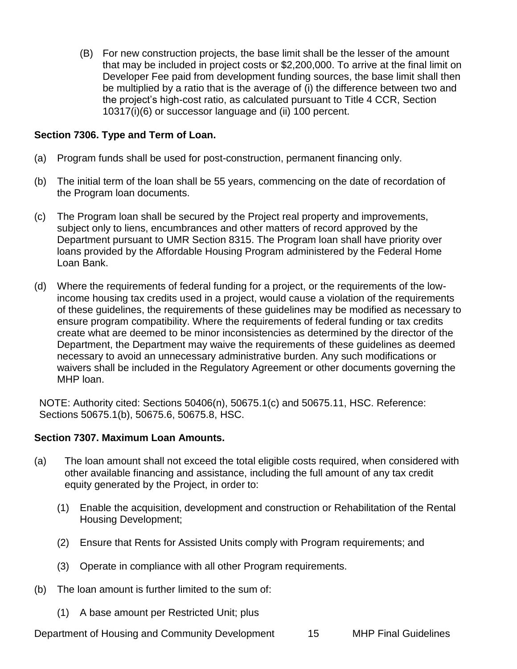(B) For new construction projects, the base limit shall be the lesser of the amount that may be included in project costs or \$2,200,000. To arrive at the final limit on Developer Fee paid from development funding sources, the base limit shall then be multiplied by a ratio that is the average of (i) the difference between two and the project's high-cost ratio, as calculated pursuant to Title 4 CCR, Section 10317(i)(6) or successor language and (ii) 100 percent.

# <span id="page-14-0"></span>**Section 7306. Type and Term of Loan.**

- (a) Program funds shall be used for post-construction, permanent financing only.
- (b) The initial term of the loan shall be 55 years, commencing on the date of recordation of the Program loan documents.
- (c) The Program loan shall be secured by the Project real property and improvements, subject only to liens, encumbrances and other matters of record approved by the Department pursuant to UMR Section 8315. The Program loan shall have priority over loans provided by the Affordable Housing Program administered by the Federal Home Loan Bank.
- (d) Where the requirements of federal funding for a project, or the requirements of the lowincome housing tax credits used in a project, would cause a violation of the requirements of these guidelines, the requirements of these guidelines may be modified as necessary to ensure program compatibility. Where the requirements of federal funding or tax credits create what are deemed to be minor inconsistencies as determined by the director of the Department, the Department may waive the requirements of these guidelines as deemed necessary to avoid an unnecessary administrative burden. Any such modifications or waivers shall be included in the Regulatory Agreement or other documents governing the MHP loan.

NOTE: Authority cited: Sections 50406(n), 50675.1(c) and 50675.11, HSC. Reference: Sections 50675.1(b), 50675.6, 50675.8, HSC.

#### **Section 7307. Maximum Loan Amounts.**

- (a) The loan amount shall not exceed the total eligible costs required, when considered with other available financing and assistance, including the full amount of any tax credit equity generated by the Project, in order to:
	- (1) Enable the acquisition, development and construction or Rehabilitation of the Rental Housing Development;
	- (2) Ensure that Rents for Assisted Units comply with Program requirements; and
	- (3) Operate in compliance with all other Program requirements.
- (b) The loan amount is further limited to the sum of:
	- (1) A base amount per Restricted Unit; plus

Department of Housing and Community Development 15 MHP Final Guidelines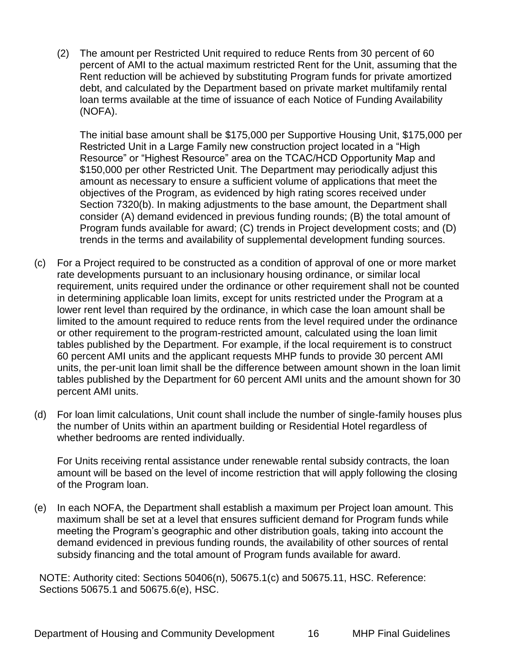(2) The amount per Restricted Unit required to reduce Rents from 30 percent of 60 percent of AMI to the actual maximum restricted Rent for the Unit, assuming that the Rent reduction will be achieved by substituting Program funds for private amortized debt, and calculated by the Department based on private market multifamily rental loan terms available at the time of issuance of each Notice of Funding Availability (NOFA).

The initial base amount shall be \$175,000 per Supportive Housing Unit, \$175,000 per Restricted Unit in a Large Family new construction project located in a "High Resource" or "Highest Resource" area on the TCAC/HCD Opportunity Map and \$150,000 per other Restricted Unit. The Department may periodically adjust this amount as necessary to ensure a sufficient volume of applications that meet the objectives of the Program, as evidenced by high rating scores received under Section 7320(b). In making adjustments to the base amount, the Department shall consider (A) demand evidenced in previous funding rounds; (B) the total amount of Program funds available for award; (C) trends in Project development costs; and (D) trends in the terms and availability of supplemental development funding sources.

- (c) For a Project required to be constructed as a condition of approval of one or more market rate developments pursuant to an inclusionary housing ordinance, or similar local requirement, units required under the ordinance or other requirement shall not be counted in determining applicable loan limits, except for units restricted under the Program at a lower rent level than required by the ordinance, in which case the loan amount shall be limited to the amount required to reduce rents from the level required under the ordinance or other requirement to the program-restricted amount, calculated using the loan limit tables published by the Department. For example, if the local requirement is to construct 60 percent AMI units and the applicant requests MHP funds to provide 30 percent AMI units, the per-unit loan limit shall be the difference between amount shown in the loan limit tables published by the Department for 60 percent AMI units and the amount shown for 30 percent AMI units.
- (d) For loan limit calculations, Unit count shall include the number of single-family houses plus the number of Units within an apartment building or Residential Hotel regardless of whether bedrooms are rented individually.

For Units receiving rental assistance under renewable rental subsidy contracts, the loan amount will be based on the level of income restriction that will apply following the closing of the Program loan.

(e) In each NOFA, the Department shall establish a maximum per Project loan amount. This maximum shall be set at a level that ensures sufficient demand for Program funds while meeting the Program's geographic and other distribution goals, taking into account the demand evidenced in previous funding rounds, the availability of other sources of rental subsidy financing and the total amount of Program funds available for award.

NOTE: Authority cited: Sections 50406(n), 50675.1(c) and 50675.11, HSC. Reference: Sections 50675.1 and 50675.6(e), HSC.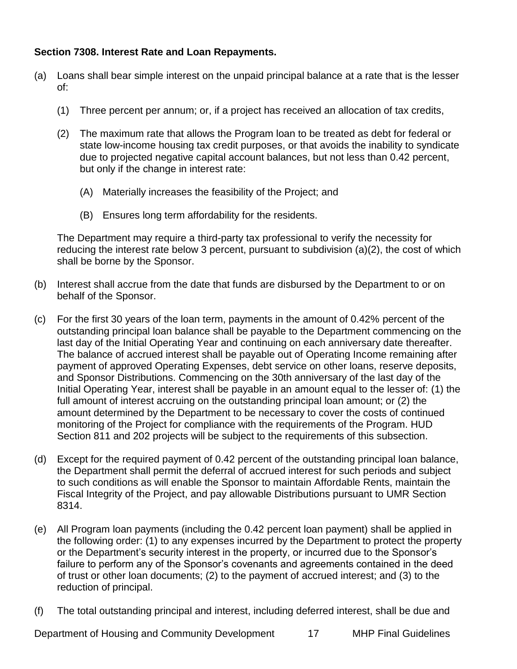# <span id="page-16-0"></span>**Section 7308. Interest Rate and Loan Repayments.**

- (a) Loans shall bear simple interest on the unpaid principal balance at a rate that is the lesser of:
	- (1) Three percent per annum; or, if a project has received an allocation of tax credits,
	- (2) The maximum rate that allows the Program loan to be treated as debt for federal or state low-income housing tax credit purposes, or that avoids the inability to syndicate due to projected negative capital account balances, but not less than 0.42 percent, but only if the change in interest rate:
		- (A) Materially increases the feasibility of the Project; and
		- (B) Ensures long term affordability for the residents.

The Department may require a third-party tax professional to verify the necessity for reducing the interest rate below 3 percent, pursuant to subdivision (a)(2), the cost of which shall be borne by the Sponsor.

- (b) Interest shall accrue from the date that funds are disbursed by the Department to or on behalf of the Sponsor.
- (c) For the first 30 years of the loan term, payments in the amount of 0.42% percent of the outstanding principal loan balance shall be payable to the Department commencing on the last day of the Initial Operating Year and continuing on each anniversary date thereafter. The balance of accrued interest shall be payable out of Operating Income remaining after payment of approved Operating Expenses, debt service on other loans, reserve deposits, and Sponsor Distributions. Commencing on the 30th anniversary of the last day of the Initial Operating Year, interest shall be payable in an amount equal to the lesser of: (1) the full amount of interest accruing on the outstanding principal loan amount; or (2) the amount determined by the Department to be necessary to cover the costs of continued monitoring of the Project for compliance with the requirements of the Program. HUD Section 811 and 202 projects will be subject to the requirements of this subsection.
- (d) Except for the required payment of 0.42 percent of the outstanding principal loan balance, the Department shall permit the deferral of accrued interest for such periods and subject to such conditions as will enable the Sponsor to maintain Affordable Rents, maintain the Fiscal Integrity of the Project, and pay allowable Distributions pursuant to UMR Section 8314.
- (e) All Program loan payments (including the 0.42 percent loan payment) shall be applied in the following order: (1) to any expenses incurred by the Department to protect the property or the Department's security interest in the property, or incurred due to the Sponsor's failure to perform any of the Sponsor's covenants and agreements contained in the deed of trust or other loan documents; (2) to the payment of accrued interest; and (3) to the reduction of principal.
- (f) The total outstanding principal and interest, including deferred interest, shall be due and

Department of Housing and Community Development 17 MHP Final Guidelines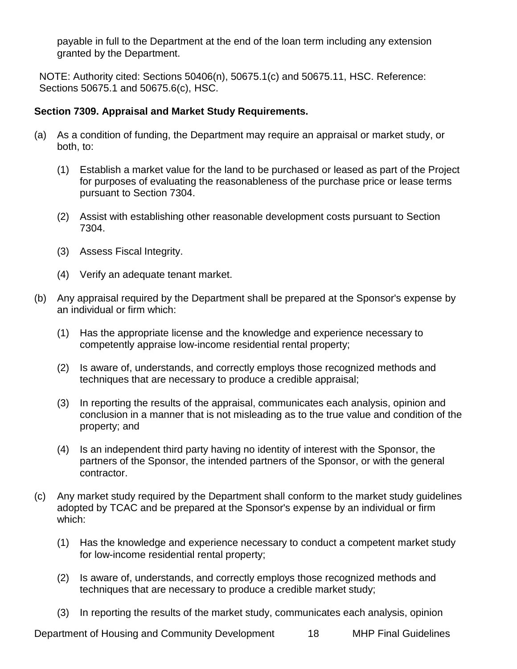payable in full to the Department at the end of the loan term including any extension granted by the Department.

NOTE: Authority cited: Sections 50406(n), 50675.1(c) and 50675.11, HSC. Reference: Sections 50675.1 and 50675.6(c), HSC.

## <span id="page-17-0"></span>**Section 7309. Appraisal and Market Study Requirements.**

- (a) As a condition of funding, the Department may require an appraisal or market study, or both, to:
	- (1) Establish a market value for the land to be purchased or leased as part of the Project for purposes of evaluating the reasonableness of the purchase price or lease terms pursuant to Section 7304.
	- (2) Assist with establishing other reasonable development costs pursuant to Section 7304.
	- (3) Assess Fiscal Integrity.
	- (4) Verify an adequate tenant market.
- (b) Any appraisal required by the Department shall be prepared at the Sponsor's expense by an individual or firm which:
	- (1) Has the appropriate license and the knowledge and experience necessary to competently appraise low-income residential rental property;
	- (2) Is aware of, understands, and correctly employs those recognized methods and techniques that are necessary to produce a credible appraisal;
	- (3) In reporting the results of the appraisal, communicates each analysis, opinion and conclusion in a manner that is not misleading as to the true value and condition of the property; and
	- (4) Is an independent third party having no identity of interest with the Sponsor, the partners of the Sponsor, the intended partners of the Sponsor, or with the general contractor.
- (c) Any market study required by the Department shall conform to the market study guidelines adopted by TCAC and be prepared at the Sponsor's expense by an individual or firm which:
	- (1) Has the knowledge and experience necessary to conduct a competent market study for low-income residential rental property;
	- (2) Is aware of, understands, and correctly employs those recognized methods and techniques that are necessary to produce a credible market study;
	- (3) In reporting the results of the market study, communicates each analysis, opinion

Department of Housing and Community Development 18 MHP Final Guidelines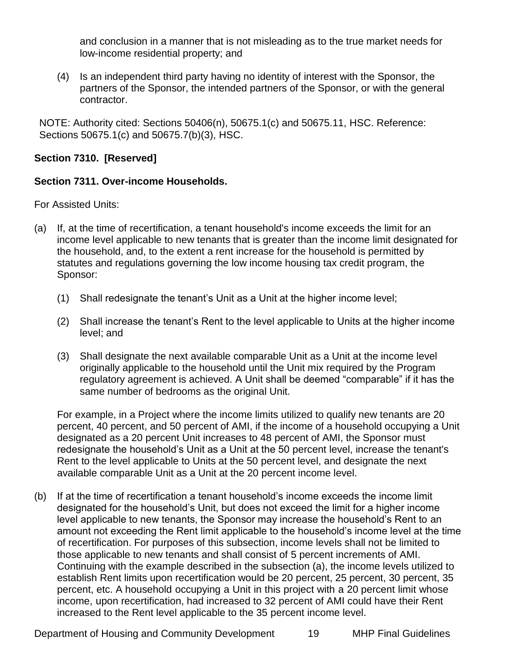and conclusion in a manner that is not misleading as to the true market needs for low-income residential property; and

(4) Is an independent third party having no identity of interest with the Sponsor, the partners of the Sponsor, the intended partners of the Sponsor, or with the general contractor.

NOTE: Authority cited: Sections 50406(n), 50675.1(c) and 50675.11, HSC. Reference: Sections 50675.1(c) and 50675.7(b)(3), HSC.

# <span id="page-18-0"></span>**Section 7310. [Reserved]**

# <span id="page-18-1"></span>**Section 7311. Over-income Households.**

For Assisted Units:

- (a) If, at the time of recertification, a tenant household's income exceeds the limit for an income level applicable to new tenants that is greater than the income limit designated for the household, and, to the extent a rent increase for the household is permitted by statutes and regulations governing the low income housing tax credit program, the Sponsor:
	- (1) Shall redesignate the tenant's Unit as a Unit at the higher income level;
	- (2) Shall increase the tenant's Rent to the level applicable to Units at the higher income level; and
	- (3) Shall designate the next available comparable Unit as a Unit at the income level originally applicable to the household until the Unit mix required by the Program regulatory agreement is achieved. A Unit shall be deemed "comparable" if it has the same number of bedrooms as the original Unit.

For example, in a Project where the income limits utilized to qualify new tenants are 20 percent, 40 percent, and 50 percent of AMI, if the income of a household occupying a Unit designated as a 20 percent Unit increases to 48 percent of AMI, the Sponsor must redesignate the household's Unit as a Unit at the 50 percent level, increase the tenant's Rent to the level applicable to Units at the 50 percent level, and designate the next available comparable Unit as a Unit at the 20 percent income level.

(b) If at the time of recertification a tenant household's income exceeds the income limit designated for the household's Unit, but does not exceed the limit for a higher income level applicable to new tenants, the Sponsor may increase the household's Rent to an amount not exceeding the Rent limit applicable to the household's income level at the time of recertification. For purposes of this subsection, income levels shall not be limited to those applicable to new tenants and shall consist of 5 percent increments of AMI. Continuing with the example described in the subsection (a), the income levels utilized to establish Rent limits upon recertification would be 20 percent, 25 percent, 30 percent, 35 percent, etc. A household occupying a Unit in this project with a 20 percent limit whose income, upon recertification, had increased to 32 percent of AMI could have their Rent increased to the Rent level applicable to the 35 percent income level.

Department of Housing and Community Development 19 MHP Final Guidelines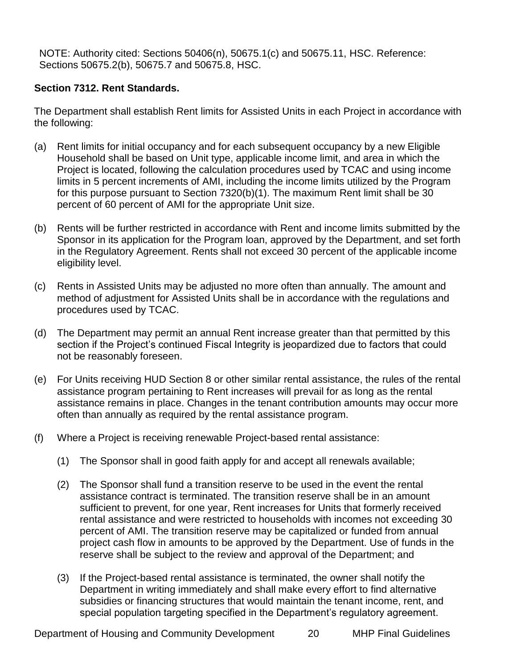NOTE: Authority cited: Sections 50406(n), 50675.1(c) and 50675.11, HSC. Reference: Sections 50675.2(b), 50675.7 and 50675.8, HSC.

# <span id="page-19-0"></span>**Section 7312. Rent Standards.**

The Department shall establish Rent limits for Assisted Units in each Project in accordance with the following:

- (a) Rent limits for initial occupancy and for each subsequent occupancy by a new Eligible Household shall be based on Unit type, applicable income limit, and area in which the Project is located, following the calculation procedures used by TCAC and using income limits in 5 percent increments of AMI, including the income limits utilized by the Program for this purpose pursuant to Section 7320(b)(1). The maximum Rent limit shall be 30 percent of 60 percent of AMI for the appropriate Unit size.
- (b) Rents will be further restricted in accordance with Rent and income limits submitted by the Sponsor in its application for the Program loan, approved by the Department, and set forth in the Regulatory Agreement. Rents shall not exceed 30 percent of the applicable income eligibility level.
- (c) Rents in Assisted Units may be adjusted no more often than annually. The amount and method of adjustment for Assisted Units shall be in accordance with the regulations and procedures used by TCAC.
- (d) The Department may permit an annual Rent increase greater than that permitted by this section if the Project's continued Fiscal Integrity is jeopardized due to factors that could not be reasonably foreseen.
- (e) For Units receiving HUD Section 8 or other similar rental assistance, the rules of the rental assistance program pertaining to Rent increases will prevail for as long as the rental assistance remains in place. Changes in the tenant contribution amounts may occur more often than annually as required by the rental assistance program.
- (f) Where a Project is receiving renewable Project-based rental assistance:
	- (1) The Sponsor shall in good faith apply for and accept all renewals available;
	- (2) The Sponsor shall fund a transition reserve to be used in the event the rental assistance contract is terminated. The transition reserve shall be in an amount sufficient to prevent, for one year, Rent increases for Units that formerly received rental assistance and were restricted to households with incomes not exceeding 30 percent of AMI. The transition reserve may be capitalized or funded from annual project cash flow in amounts to be approved by the Department. Use of funds in the reserve shall be subject to the review and approval of the Department; and
	- (3) If the Project-based rental assistance is terminated, the owner shall notify the Department in writing immediately and shall make every effort to find alternative subsidies or financing structures that would maintain the tenant income, rent, and special population targeting specified in the Department's regulatory agreement.

Department of Housing and Community Development 20 MHP Final Guidelines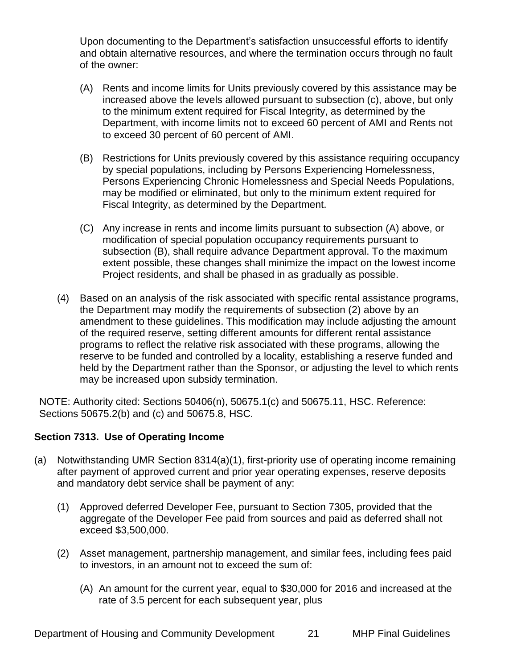Upon documenting to the Department's satisfaction unsuccessful efforts to identify and obtain alternative resources, and where the termination occurs through no fault of the owner:

- (A) Rents and income limits for Units previously covered by this assistance may be increased above the levels allowed pursuant to subsection (c), above, but only to the minimum extent required for Fiscal Integrity, as determined by the Department, with income limits not to exceed 60 percent of AMI and Rents not to exceed 30 percent of 60 percent of AMI.
- (B) Restrictions for Units previously covered by this assistance requiring occupancy by special populations, including by Persons Experiencing Homelessness, Persons Experiencing Chronic Homelessness and Special Needs Populations, may be modified or eliminated, but only to the minimum extent required for Fiscal Integrity, as determined by the Department.
- (C) Any increase in rents and income limits pursuant to subsection (A) above, or modification of special population occupancy requirements pursuant to subsection (B), shall require advance Department approval. To the maximum extent possible, these changes shall minimize the impact on the lowest income Project residents, and shall be phased in as gradually as possible.
- (4) Based on an analysis of the risk associated with specific rental assistance programs, the Department may modify the requirements of subsection (2) above by an amendment to these guidelines. This modification may include adjusting the amount of the required reserve, setting different amounts for different rental assistance programs to reflect the relative risk associated with these programs, allowing the reserve to be funded and controlled by a locality, establishing a reserve funded and held by the Department rather than the Sponsor, or adjusting the level to which rents may be increased upon subsidy termination.

NOTE: Authority cited: Sections 50406(n), 50675.1(c) and 50675.11, HSC. Reference: Sections 50675.2(b) and (c) and 50675.8, HSC.

# <span id="page-20-0"></span>**Section 7313. Use of Operating Income**

- (a) Notwithstanding UMR Section 8314(a)(1), first-priority use of operating income remaining after payment of approved current and prior year operating expenses, reserve deposits and mandatory debt service shall be payment of any:
	- (1) Approved deferred Developer Fee, pursuant to Section 7305, provided that the aggregate of the Developer Fee paid from sources and paid as deferred shall not exceed \$3,500,000.
	- (2) Asset management, partnership management, and similar fees, including fees paid to investors, in an amount not to exceed the sum of:
		- (A) An amount for the current year, equal to \$30,000 for 2016 and increased at the rate of 3.5 percent for each subsequent year, plus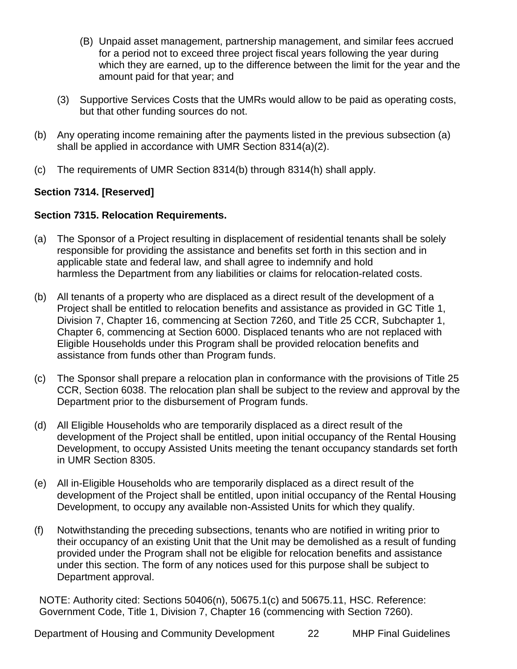- (B) Unpaid asset management, partnership management, and similar fees accrued for a period not to exceed three project fiscal years following the year during which they are earned, up to the difference between the limit for the year and the amount paid for that year; and
- (3) Supportive Services Costs that the UMRs would allow to be paid as operating costs, but that other funding sources do not.
- (b) Any operating income remaining after the payments listed in the previous subsection (a) shall be applied in accordance with UMR Section 8314(a)(2).
- (c) The requirements of UMR Section 8314(b) through 8314(h) shall apply.

# <span id="page-21-0"></span>**Section 7314. [Reserved]**

# <span id="page-21-1"></span>**Section 7315. Relocation Requirements.**

- (a) The Sponsor of a Project resulting in displacement of residential tenants shall be solely responsible for providing the assistance and benefits set forth in this section and in applicable state and federal law, and shall agree to indemnify and hold harmless the Department from any liabilities or claims for relocation-related costs.
- (b) All tenants of a property who are displaced as a direct result of the development of a Project shall be entitled to relocation benefits and assistance as provided in GC Title 1, Division 7, Chapter 16, commencing at Section 7260, and Title 25 CCR, Subchapter 1, Chapter 6, commencing at Section 6000. Displaced tenants who are not replaced with Eligible Households under this Program shall be provided relocation benefits and assistance from funds other than Program funds.
- (c) The Sponsor shall prepare a relocation plan in conformance with the provisions of Title 25 CCR, Section 6038. The relocation plan shall be subject to the review and approval by the Department prior to the disbursement of Program funds.
- (d) All Eligible Households who are temporarily displaced as a direct result of the development of the Project shall be entitled, upon initial occupancy of the Rental Housing Development, to occupy Assisted Units meeting the tenant occupancy standards set forth in UMR Section 8305.
- (e) All in-Eligible Households who are temporarily displaced as a direct result of the development of the Project shall be entitled, upon initial occupancy of the Rental Housing Development, to occupy any available non-Assisted Units for which they qualify.
- (f) Notwithstanding the preceding subsections, tenants who are notified in writing prior to their occupancy of an existing Unit that the Unit may be demolished as a result of funding provided under the Program shall not be eligible for relocation benefits and assistance under this section. The form of any notices used for this purpose shall be subject to Department approval.

NOTE: Authority cited: Sections 50406(n), 50675.1(c) and 50675.11, HSC. Reference: Government Code, Title 1, Division 7, Chapter 16 (commencing with Section 7260).

Department of Housing and Community Development 22 MHP Final Guidelines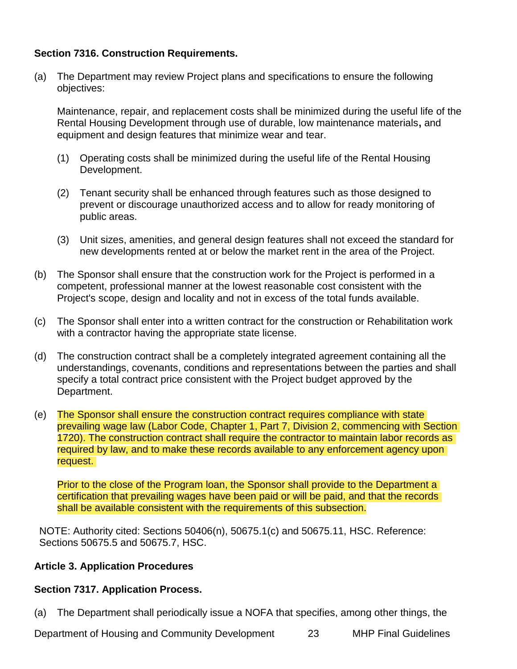## <span id="page-22-0"></span>**Section 7316. Construction Requirements.**

(a) The Department may review Project plans and specifications to ensure the following objectives:

Maintenance, repair, and replacement costs shall be minimized during the useful life of the Rental Housing Development through use of durable, low maintenance materials**,** and equipment and design features that minimize wear and tear.

- (1) Operating costs shall be minimized during the useful life of the Rental Housing Development.
- (2) Tenant security shall be enhanced through features such as those designed to prevent or discourage unauthorized access and to allow for ready monitoring of public areas.
- (3) Unit sizes, amenities, and general design features shall not exceed the standard for new developments rented at or below the market rent in the area of the Project.
- (b) The Sponsor shall ensure that the construction work for the Project is performed in a competent, professional manner at the lowest reasonable cost consistent with the Project's scope, design and locality and not in excess of the total funds available.
- (c) The Sponsor shall enter into a written contract for the construction or Rehabilitation work with a contractor having the appropriate state license.
- (d) The construction contract shall be a completely integrated agreement containing all the understandings, covenants, conditions and representations between the parties and shall specify a total contract price consistent with the Project budget approved by the Department.
- (e) The Sponsor shall ensure the construction contract requires compliance with state prevailing wage law (Labor Code, Chapter 1, Part 7, Division 2, commencing with Section 1720). The construction contract shall require the contractor to maintain labor records as required by law, and to make these records available to any enforcement agency upon request.

Prior to the close of the Program loan, the Sponsor shall provide to the Department a certification that prevailing wages have been paid or will be paid, and that the records shall be available consistent with the requirements of this subsection.

NOTE: Authority cited: Sections 50406(n), 50675.1(c) and 50675.11, HSC. Reference: Sections 50675.5 and 50675.7, HSC.

#### <span id="page-22-1"></span>**Article 3. Application Procedures**

#### <span id="page-22-2"></span>**Section 7317. Application Process.**

(a) The Department shall periodically issue a NOFA that specifies, among other things, the

Department of Housing and Community Development 23 MHP Final Guidelines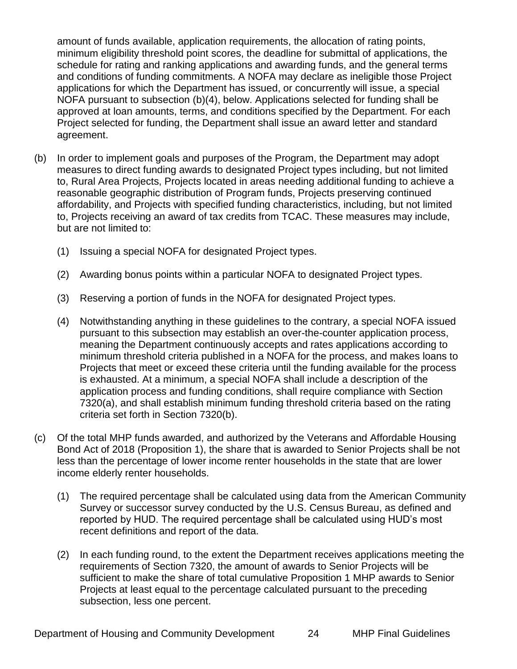amount of funds available, application requirements, the allocation of rating points, minimum eligibility threshold point scores, the deadline for submittal of applications, the schedule for rating and ranking applications and awarding funds, and the general terms and conditions of funding commitments. A NOFA may declare as ineligible those Project applications for which the Department has issued, or concurrently will issue, a special NOFA pursuant to subsection (b)(4), below. Applications selected for funding shall be approved at loan amounts, terms, and conditions specified by the Department. For each Project selected for funding, the Department shall issue an award letter and standard agreement.

- (b) In order to implement goals and purposes of the Program, the Department may adopt measures to direct funding awards to designated Project types including, but not limited to, Rural Area Projects, Projects located in areas needing additional funding to achieve a reasonable geographic distribution of Program funds, Projects preserving continued affordability, and Projects with specified funding characteristics, including, but not limited to, Projects receiving an award of tax credits from TCAC. These measures may include, but are not limited to:
	- (1) Issuing a special NOFA for designated Project types.
	- (2) Awarding bonus points within a particular NOFA to designated Project types.
	- (3) Reserving a portion of funds in the NOFA for designated Project types.
	- (4) Notwithstanding anything in these guidelines to the contrary, a special NOFA issued pursuant to this subsection may establish an over-the-counter application process, meaning the Department continuously accepts and rates applications according to minimum threshold criteria published in a NOFA for the process, and makes loans to Projects that meet or exceed these criteria until the funding available for the process is exhausted. At a minimum, a special NOFA shall include a description of the application process and funding conditions, shall require compliance with Section 7320(a), and shall establish minimum funding threshold criteria based on the rating criteria set forth in Section 7320(b).
- (c) Of the total MHP funds awarded, and authorized by the Veterans and Affordable Housing Bond Act of 2018 (Proposition 1), the share that is awarded to Senior Projects shall be not less than the percentage of lower income renter households in the state that are lower income elderly renter households.
	- (1) The required percentage shall be calculated using data from the American Community Survey or successor survey conducted by the U.S. Census Bureau, as defined and reported by HUD. The required percentage shall be calculated using HUD's most recent definitions and report of the data.
	- (2) In each funding round, to the extent the Department receives applications meeting the requirements of Section 7320, the amount of awards to Senior Projects will be sufficient to make the share of total cumulative Proposition 1 MHP awards to Senior Projects at least equal to the percentage calculated pursuant to the preceding subsection, less one percent.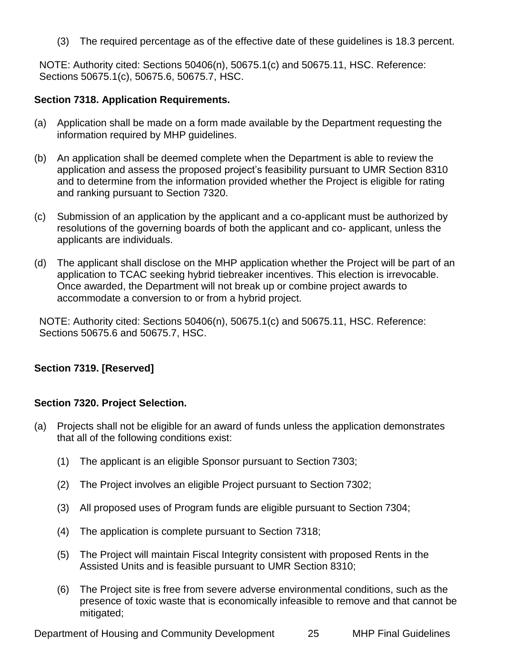(3) The required percentage as of the effective date of these guidelines is 18.3 percent.

NOTE: Authority cited: Sections 50406(n), 50675.1(c) and 50675.11, HSC. Reference: Sections 50675.1(c), 50675.6, 50675.7, HSC.

## <span id="page-24-0"></span>**Section 7318. Application Requirements.**

- (a) Application shall be made on a form made available by the Department requesting the information required by MHP guidelines.
- (b) An application shall be deemed complete when the Department is able to review the application and assess the proposed project's feasibility pursuant to UMR Section 8310 and to determine from the information provided whether the Project is eligible for rating and ranking pursuant to Section 7320.
- (c) Submission of an application by the applicant and a co-applicant must be authorized by resolutions of the governing boards of both the applicant and co- applicant, unless the applicants are individuals.
- (d) The applicant shall disclose on the MHP application whether the Project will be part of an application to TCAC seeking hybrid tiebreaker incentives. This election is irrevocable. Once awarded, the Department will not break up or combine project awards to accommodate a conversion to or from a hybrid project.

<span id="page-24-1"></span>NOTE: Authority cited: Sections 50406(n), 50675.1(c) and 50675.11, HSC. Reference: Sections 50675.6 and 50675.7, HSC.

# <span id="page-24-2"></span>**Section 7319. [Reserved]**

#### **Section 7320. Project Selection.**

- (a) Projects shall not be eligible for an award of funds unless the application demonstrates that all of the following conditions exist:
	- (1) The applicant is an eligible Sponsor pursuant to Section 7303;
	- (2) The Project involves an eligible Project pursuant to Section 7302;
	- (3) All proposed uses of Program funds are eligible pursuant to Section 7304;
	- (4) The application is complete pursuant to Section 7318;
	- (5) The Project will maintain Fiscal Integrity consistent with proposed Rents in the Assisted Units and is feasible pursuant to UMR Section 8310;
	- (6) The Project site is free from severe adverse environmental conditions, such as the presence of toxic waste that is economically infeasible to remove and that cannot be mitigated;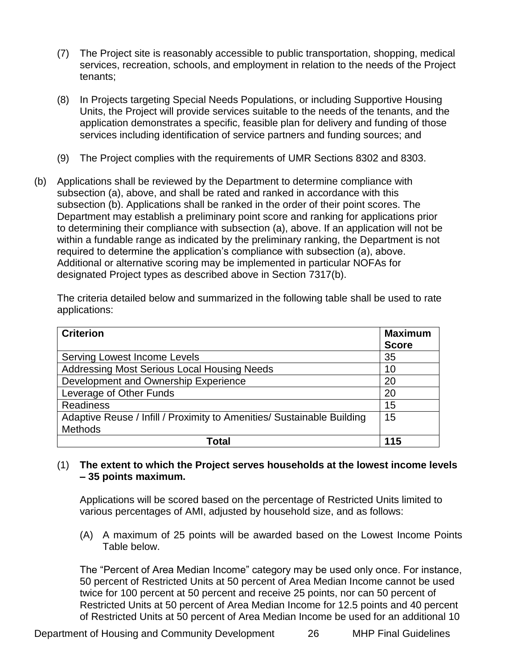- (7) The Project site is reasonably accessible to public transportation, shopping, medical services, recreation, schools, and employment in relation to the needs of the Project tenants;
- (8) In Projects targeting Special Needs Populations, or including Supportive Housing Units, the Project will provide services suitable to the needs of the tenants, and the application demonstrates a specific, feasible plan for delivery and funding of those services including identification of service partners and funding sources; and
- (9) The Project complies with the requirements of UMR Sections 8302 and 8303.
- (b) Applications shall be reviewed by the Department to determine compliance with subsection (a), above, and shall be rated and ranked in accordance with this subsection (b). Applications shall be ranked in the order of their point scores. The Department may establish a preliminary point score and ranking for applications prior to determining their compliance with subsection (a), above. If an application will not be within a fundable range as indicated by the preliminary ranking, the Department is not required to determine the application's compliance with subsection (a), above. Additional or alternative scoring may be implemented in particular NOFAs for designated Project types as described above in Section 7317(b).

The criteria detailed below and summarized in the following table shall be used to rate applications:

| <b>Criterion</b>                                                       | <b>Maximum</b><br><b>Score</b> |
|------------------------------------------------------------------------|--------------------------------|
| <b>Serving Lowest Income Levels</b>                                    | 35                             |
| <b>Addressing Most Serious Local Housing Needs</b>                     | 10                             |
| Development and Ownership Experience                                   | 20                             |
| Leverage of Other Funds                                                | 20                             |
| <b>Readiness</b>                                                       | 15                             |
| Adaptive Reuse / Infill / Proximity to Amenities/ Sustainable Building | 15                             |
| Methods                                                                |                                |
| Total                                                                  | 115                            |

## (1) **The extent to which the Project serves households at the lowest income levels – 35 points maximum.**

Applications will be scored based on the percentage of Restricted Units limited to various percentages of AMI, adjusted by household size, and as follows:

(A) A maximum of 25 points will be awarded based on the Lowest Income Points Table below.

The "Percent of Area Median Income" category may be used only once. For instance, 50 percent of Restricted Units at 50 percent of Area Median Income cannot be used twice for 100 percent at 50 percent and receive 25 points, nor can 50 percent of Restricted Units at 50 percent of Area Median Income for 12.5 points and 40 percent of Restricted Units at 50 percent of Area Median Income be used for an additional 10

Department of Housing and Community Development 26 MHP Final Guidelines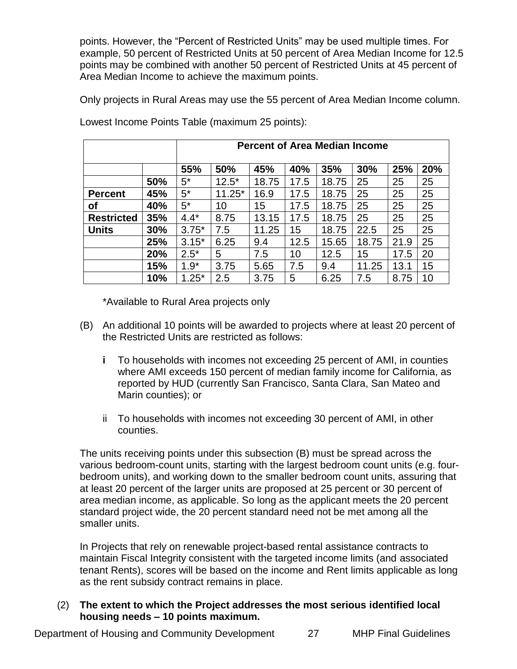points. However, the "Percent of Restricted Units" may be used multiple times. For example, 50 percent of Restricted Units at 50 percent of Area Median Income for 12.5 points may be combined with another 50 percent of Restricted Units at 45 percent of Area Median Income to achieve the maximum points.

Only projects in Rural Areas may use the 55 percent of Area Median Income column.

|                   |     | <b>Percent of Area Median Income</b> |          |       |      |       |       |      |     |
|-------------------|-----|--------------------------------------|----------|-------|------|-------|-------|------|-----|
|                   |     | 55%                                  | 50%      | 45%   | 40%  | 35%   | 30%   | 25%  | 20% |
|                   | 50% | $5^*$                                | $12.5*$  | 18.75 | 17.5 | 18.75 | 25    | 25   | 25  |
| <b>Percent</b>    | 45% | $5^*$                                | $11.25*$ | 16.9  | 17.5 | 18.75 | 25    | 25   | 25  |
| οf                | 40% | $5^*$                                | 10       | 15    | 17.5 | 18.75 | 25    | 25   | 25  |
| <b>Restricted</b> | 35% | $4.4*$                               | 8.75     | 13.15 | 17.5 | 18.75 | 25    | 25   | 25  |
| <b>Units</b>      | 30% | $3.75*$                              | 7.5      | 11.25 | 15   | 18.75 | 22.5  | 25   | 25  |
|                   | 25% | $3.15*$                              | 6.25     | 9.4   | 12.5 | 15.65 | 18.75 | 21.9 | 25  |
|                   | 20% | $2.5*$                               | 5        | 7.5   | 10   | 12.5  | 15    | 17.5 | 20  |
|                   | 15% | $1.9*$                               | 3.75     | 5.65  | 7.5  | 9.4   | 11.25 | 13.1 | 15  |
|                   | 10% | $1.25*$                              | 2.5      | 3.75  | 5    | 6.25  | 7.5   | 8.75 | 10  |

Lowest Income Points Table (maximum 25 points):

\*Available to Rural Area projects only

- (B) An additional 10 points will be awarded to projects where at least 20 percent of the Restricted Units are restricted as follows:
	- **i** To households with incomes not exceeding 25 percent of AMI, in counties where AMI exceeds 150 percent of median family income for California, as reported by HUD (currently San Francisco, Santa Clara, San Mateo and Marin counties); or
	- ii To households with incomes not exceeding 30 percent of AMI, in other counties.

The units receiving points under this subsection (B) must be spread across the various bedroom-count units, starting with the largest bedroom count units (e.g. fourbedroom units), and working down to the smaller bedroom count units, assuring that at least 20 percent of the larger units are proposed at 25 percent or 30 percent of area median income, as applicable. So long as the applicant meets the 20 percent standard project wide, the 20 percent standard need not be met among all the smaller units.

In Projects that rely on renewable project-based rental assistance contracts to maintain Fiscal Integrity consistent with the targeted income limits (and associated tenant Rents), scores will be based on the income and Rent limits applicable as long as the rent subsidy contract remains in place.

## (2) **The extent to which the Project addresses the most serious identified local housing needs – 10 points maximum.**

Department of Housing and Community Development 27 MHP Final Guidelines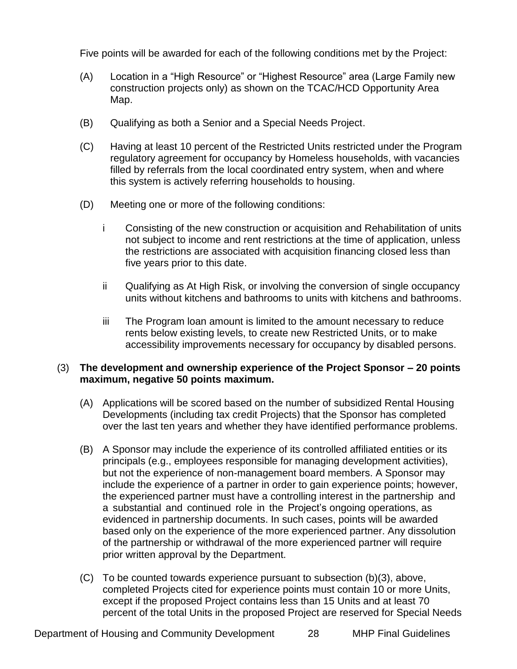Five points will be awarded for each of the following conditions met by the Project:

- (A) Location in a "High Resource" or "Highest Resource" area (Large Family new construction projects only) as shown on the TCAC/HCD Opportunity Area Map.
- (B) Qualifying as both a Senior and a Special Needs Project.
- (C) Having at least 10 percent of the Restricted Units restricted under the Program regulatory agreement for occupancy by Homeless households, with vacancies filled by referrals from the local coordinated entry system, when and where this system is actively referring households to housing.
- (D) Meeting one or more of the following conditions:
	- i Consisting of the new construction or acquisition and Rehabilitation of units not subject to income and rent restrictions at the time of application, unless the restrictions are associated with acquisition financing closed less than five years prior to this date.
	- ii Qualifying as At High Risk, or involving the conversion of single occupancy units without kitchens and bathrooms to units with kitchens and bathrooms.
	- iii The Program loan amount is limited to the amount necessary to reduce rents below existing levels, to create new Restricted Units, or to make accessibility improvements necessary for occupancy by disabled persons.

## (3) **The development and ownership experience of the Project Sponsor – 20 points maximum, negative 50 points maximum.**

- (A) Applications will be scored based on the number of subsidized Rental Housing Developments (including tax credit Projects) that the Sponsor has completed over the last ten years and whether they have identified performance problems.
- (B) A Sponsor may include the experience of its controlled affiliated entities or its principals (e.g., employees responsible for managing development activities), but not the experience of non-management board members. A Sponsor may include the experience of a partner in order to gain experience points; however, the experienced partner must have a controlling interest in the partnership and a substantial and continued role in the Project's ongoing operations, as evidenced in partnership documents. In such cases, points will be awarded based only on the experience of the more experienced partner. Any dissolution of the partnership or withdrawal of the more experienced partner will require prior written approval by the Department.
- (C) To be counted towards experience pursuant to subsection (b)(3), above, completed Projects cited for experience points must contain 10 or more Units, except if the proposed Project contains less than 15 Units and at least 70 percent of the total Units in the proposed Project are reserved for Special Needs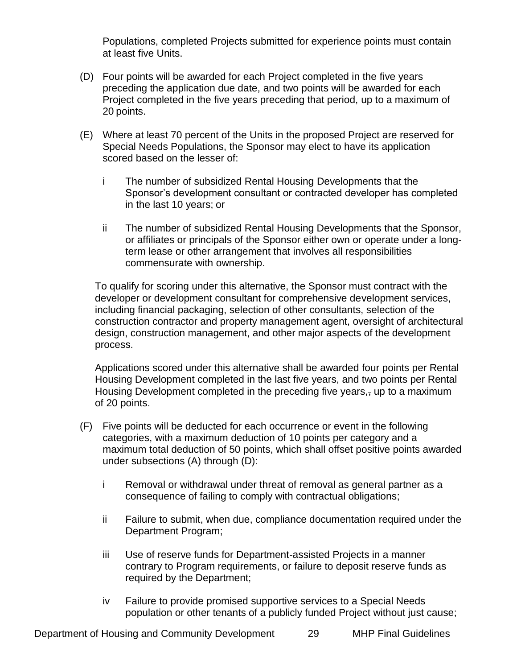Populations, completed Projects submitted for experience points must contain at least five Units.

- (D) Four points will be awarded for each Project completed in the five years preceding the application due date, and two points will be awarded for each Project completed in the five years preceding that period, up to a maximum of 20 points.
- (E) Where at least 70 percent of the Units in the proposed Project are reserved for Special Needs Populations, the Sponsor may elect to have its application scored based on the lesser of:
	- i The number of subsidized Rental Housing Developments that the Sponsor's development consultant or contracted developer has completed in the last 10 years; or
	- ii The number of subsidized Rental Housing Developments that the Sponsor, or affiliates or principals of the Sponsor either own or operate under a longterm lease or other arrangement that involves all responsibilities commensurate with ownership.

To qualify for scoring under this alternative, the Sponsor must contract with the developer or development consultant for comprehensive development services, including financial packaging, selection of other consultants, selection of the construction contractor and property management agent, oversight of architectural design, construction management, and other major aspects of the development process.

Applications scored under this alternative shall be awarded four points per Rental Housing Development completed in the last five years, and two points per Rental Housing Development completed in the preceding five years, up to a maximum of 20 points.

- (F) Five points will be deducted for each occurrence or event in the following categories, with a maximum deduction of 10 points per category and a maximum total deduction of 50 points, which shall offset positive points awarded under subsections (A) through (D):
	- i Removal or withdrawal under threat of removal as general partner as a consequence of failing to comply with contractual obligations;
	- ii Failure to submit, when due, compliance documentation required under the Department Program;
	- iii Use of reserve funds for Department-assisted Projects in a manner contrary to Program requirements, or failure to deposit reserve funds as required by the Department;
	- iv Failure to provide promised supportive services to a Special Needs population or other tenants of a publicly funded Project without just cause;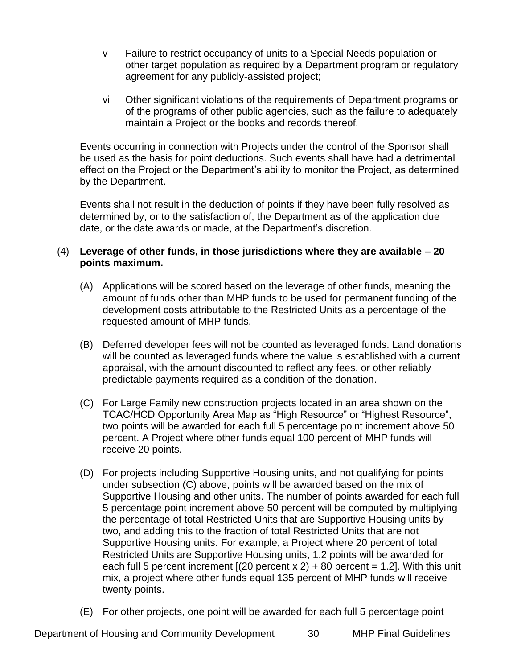- v Failure to restrict occupancy of units to a Special Needs population or other target population as required by a Department program or regulatory agreement for any publicly-assisted project;
- vi Other significant violations of the requirements of Department programs or of the programs of other public agencies, such as the failure to adequately maintain a Project or the books and records thereof.

Events occurring in connection with Projects under the control of the Sponsor shall be used as the basis for point deductions. Such events shall have had a detrimental effect on the Project or the Department's ability to monitor the Project, as determined by the Department.

Events shall not result in the deduction of points if they have been fully resolved as determined by, or to the satisfaction of, the Department as of the application due date, or the date awards or made, at the Department's discretion.

## (4) **Leverage of other funds, in those jurisdictions where they are available – 20 points maximum.**

- (A) Applications will be scored based on the leverage of other funds, meaning the amount of funds other than MHP funds to be used for permanent funding of the development costs attributable to the Restricted Units as a percentage of the requested amount of MHP funds.
- (B) Deferred developer fees will not be counted as leveraged funds. Land donations will be counted as leveraged funds where the value is established with a current appraisal, with the amount discounted to reflect any fees, or other reliably predictable payments required as a condition of the donation.
- (C) For Large Family new construction projects located in an area shown on the TCAC/HCD Opportunity Area Map as "High Resource" or "Highest Resource", two points will be awarded for each full 5 percentage point increment above 50 percent. A Project where other funds equal 100 percent of MHP funds will receive 20 points.
- (D) For projects including Supportive Housing units, and not qualifying for points under subsection (C) above, points will be awarded based on the mix of Supportive Housing and other units. The number of points awarded for each full 5 percentage point increment above 50 percent will be computed by multiplying the percentage of total Restricted Units that are Supportive Housing units by two, and adding this to the fraction of total Restricted Units that are not Supportive Housing units. For example, a Project where 20 percent of total Restricted Units are Supportive Housing units, 1.2 points will be awarded for each full 5 percent increment  $[(20$  percent x 2) + 80 percent = 1.2]. With this unit mix, a project where other funds equal 135 percent of MHP funds will receive twenty points.
- (E) For other projects, one point will be awarded for each full 5 percentage point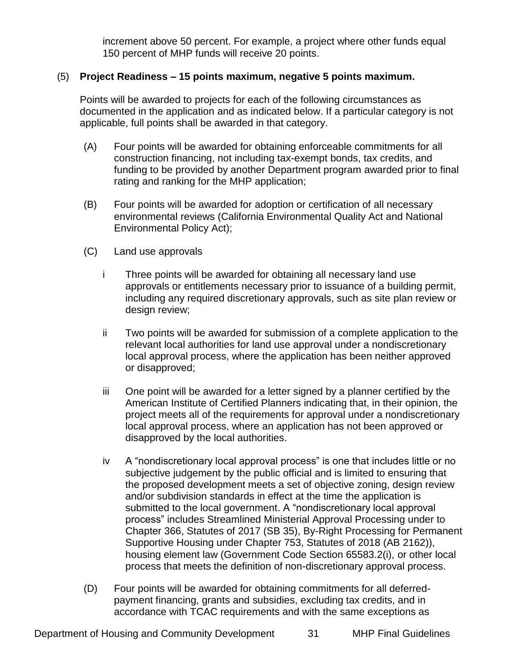increment above 50 percent. For example, a project where other funds equal 150 percent of MHP funds will receive 20 points.

# (5) **Project Readiness – 15 points maximum, negative 5 points maximum.**

Points will be awarded to projects for each of the following circumstances as documented in the application and as indicated below. If a particular category is not applicable, full points shall be awarded in that category.

- (A) Four points will be awarded for obtaining enforceable commitments for all construction financing, not including tax-exempt bonds, tax credits, and funding to be provided by another Department program awarded prior to final rating and ranking for the MHP application;
- (B) Four points will be awarded for adoption or certification of all necessary environmental reviews (California Environmental Quality Act and National Environmental Policy Act);
- (C) Land use approvals
	- i Three points will be awarded for obtaining all necessary land use approvals or entitlements necessary prior to issuance of a building permit, including any required discretionary approvals, such as site plan review or design review;
	- ii Two points will be awarded for submission of a complete application to the relevant local authorities for land use approval under a nondiscretionary local approval process, where the application has been neither approved or disapproved;
	- iii One point will be awarded for a letter signed by a planner certified by the American Institute of Certified Planners indicating that, in their opinion, the project meets all of the requirements for approval under a nondiscretionary local approval process, where an application has not been approved or disapproved by the local authorities.
	- iv A "nondiscretionary local approval process" is one that includes little or no subjective judgement by the public official and is limited to ensuring that the proposed development meets a set of objective zoning, design review and/or subdivision standards in effect at the time the application is submitted to the local government. A "nondiscretionary local approval process" includes Streamlined Ministerial Approval Processing under to Chapter 366, Statutes of 2017 (SB 35), By-Right Processing for Permanent Supportive Housing under Chapter 753, Statutes of 2018 (AB 2162)), housing element law (Government Code Section 65583.2(i), or other local process that meets the definition of non-discretionary approval process.
- (D) Four points will be awarded for obtaining commitments for all deferredpayment financing, grants and subsidies, excluding tax credits, and in accordance with TCAC requirements and with the same exceptions as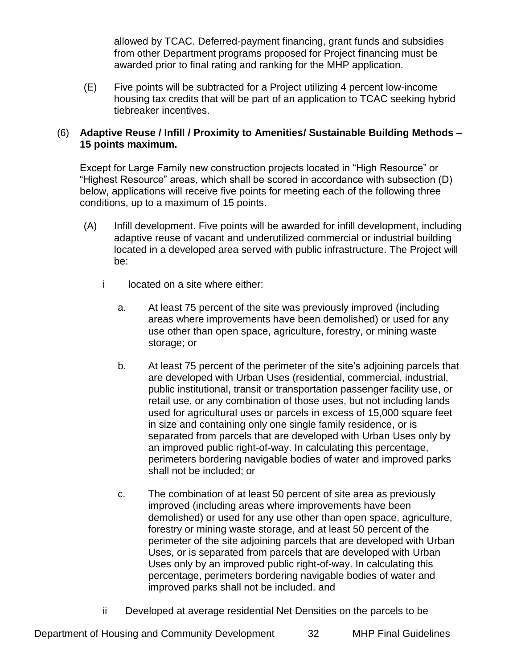allowed by TCAC. Deferred-payment financing, grant funds and subsidies from other Department programs proposed for Project financing must be awarded prior to final rating and ranking for the MHP application.

(E) Five points will be subtracted for a Project utilizing 4 percent low-income housing tax credits that will be part of an application to TCAC seeking hybrid tiebreaker incentives.

# (6) **Adaptive Reuse / Infill / Proximity to Amenities/ Sustainable Building Methods – 15 points maximum.**

Except for Large Family new construction projects located in "High Resource" or "Highest Resource" areas, which shall be scored in accordance with subsection (D) below, applications will receive five points for meeting each of the following three conditions, up to a maximum of 15 points.

- (A) Infill development. Five points will be awarded for infill development, including adaptive reuse of vacant and underutilized commercial or industrial building located in a developed area served with public infrastructure. The Project will be:
	- i located on a site where either:
		- a. At least 75 percent of the site was previously improved (including areas where improvements have been demolished) or used for any use other than open space, agriculture, forestry, or mining waste storage; or
		- b. At least 75 percent of the perimeter of the site's adjoining parcels that are developed with Urban Uses (residential, commercial, industrial, public institutional, transit or transportation passenger facility use, or retail use, or any combination of those uses, but not including lands used for agricultural uses or parcels in excess of 15,000 square feet in size and containing only one single family residence, or is separated from parcels that are developed with Urban Uses only by an improved public right-of-way. In calculating this percentage, perimeters bordering navigable bodies of water and improved parks shall not be included; or
		- c. The combination of at least 50 percent of site area as previously improved (including areas where improvements have been demolished) or used for any use other than open space, agriculture, forestry or mining waste storage, and at least 50 percent of the perimeter of the site adjoining parcels that are developed with Urban Uses, or is separated from parcels that are developed with Urban Uses only by an improved public right-of-way. In calculating this percentage, perimeters bordering navigable bodies of water and improved parks shall not be included. and
	- ii Developed at average residential Net Densities on the parcels to be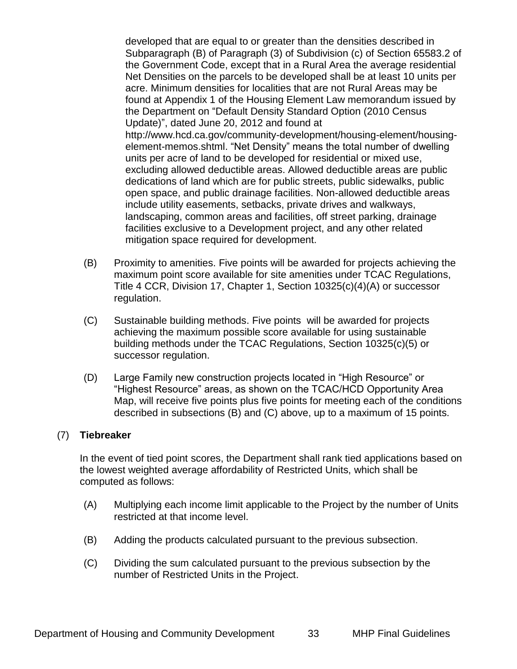developed that are equal to or greater than the densities described in Subparagraph (B) of Paragraph (3) of Subdivision (c) of Section 65583.2 of the Government Code, except that in a Rural Area the average residential Net Densities on the parcels to be developed shall be at least 10 units per acre. Minimum densities for localities that are not Rural Areas may be found at Appendix 1 of the Housing Element Law memorandum issued by the Department on "Default Density Standard Option (2010 Census Update)", dated June 20, 2012 and found at [http://www.hcd.ca.gov/community-development/housing-element/housing](http://www.hcd.ca.gov/community-development/housing-element/housing-element-memos.shtml)[element-memos.shtml.](http://www.hcd.ca.gov/community-development/housing-element/housing-element-memos.shtml) "Net Density" means the total number of dwelling units per acre of land to be developed for residential or mixed use, excluding allowed deductible areas. Allowed deductible areas are public dedications of land which are for public streets, public sidewalks, public open space, and public drainage facilities. Non-allowed deductible areas include utility easements, setbacks, private drives and walkways, landscaping, common areas and facilities, off street parking, drainage facilities exclusive to a Development project, and any other related mitigation space required for development.

- (B) Proximity to amenities. Five points will be awarded for projects achieving the maximum point score available for site amenities under TCAC Regulations, Title 4 CCR, Division 17, Chapter 1, Section 10325(c)(4)(A) or successor regulation.
- (C) Sustainable building methods. Five points will be awarded for projects achieving the maximum possible score available for using sustainable building methods under the TCAC Regulations, Section 10325(c)(5) or successor regulation.
- (D) Large Family new construction projects located in "High Resource" or "Highest Resource" areas, as shown on the TCAC/HCD Opportunity Area Map, will receive five points plus five points for meeting each of the conditions described in subsections (B) and (C) above, up to a maximum of 15 points.

#### (7) **Tiebreaker**

In the event of tied point scores, the Department shall rank tied applications based on the lowest weighted average affordability of Restricted Units, which shall be computed as follows:

- (A) Multiplying each income limit applicable to the Project by the number of Units restricted at that income level.
- (B) Adding the products calculated pursuant to the previous subsection.
- (C) Dividing the sum calculated pursuant to the previous subsection by the number of Restricted Units in the Project.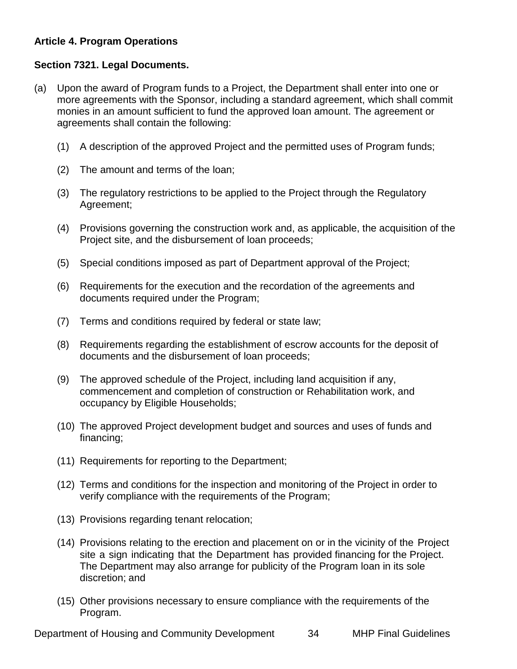# <span id="page-33-0"></span>**Article 4. Program Operations**

# <span id="page-33-1"></span>**Section 7321. Legal Documents.**

- (a) Upon the award of Program funds to a Project, the Department shall enter into one or more agreements with the Sponsor, including a standard agreement, which shall commit monies in an amount sufficient to fund the approved loan amount. The agreement or agreements shall contain the following:
	- (1) A description of the approved Project and the permitted uses of Program funds;
	- (2) The amount and terms of the loan;
	- (3) The regulatory restrictions to be applied to the Project through the Regulatory Agreement;
	- (4) Provisions governing the construction work and, as applicable, the acquisition of the Project site, and the disbursement of loan proceeds;
	- (5) Special conditions imposed as part of Department approval of the Project;
	- (6) Requirements for the execution and the recordation of the agreements and documents required under the Program;
	- (7) Terms and conditions required by federal or state law;
	- (8) Requirements regarding the establishment of escrow accounts for the deposit of documents and the disbursement of loan proceeds;
	- (9) The approved schedule of the Project, including land acquisition if any, commencement and completion of construction or Rehabilitation work, and occupancy by Eligible Households;
	- (10) The approved Project development budget and sources and uses of funds and financing;
	- (11) Requirements for reporting to the Department;
	- (12) Terms and conditions for the inspection and monitoring of the Project in order to verify compliance with the requirements of the Program;
	- (13) Provisions regarding tenant relocation;
	- (14) Provisions relating to the erection and placement on or in the vicinity of the Project site a sign indicating that the Department has provided financing for the Project. The Department may also arrange for publicity of the Program loan in its sole discretion; and
	- (15) Other provisions necessary to ensure compliance with the requirements of the Program.

Department of Housing and Community Development 34 MHP Final Guidelines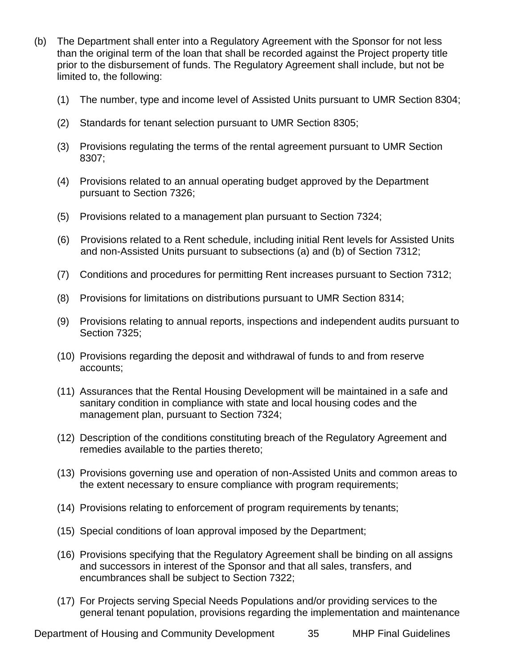- (b) The Department shall enter into a Regulatory Agreement with the Sponsor for not less than the original term of the loan that shall be recorded against the Project property title prior to the disbursement of funds. The Regulatory Agreement shall include, but not be limited to, the following:
	- (1) The number, type and income level of Assisted Units pursuant to UMR Section 8304;
	- (2) Standards for tenant selection pursuant to UMR Section 8305;
	- (3) Provisions regulating the terms of the rental agreement pursuant to UMR Section 8307;
	- (4) Provisions related to an annual operating budget approved by the Department pursuant to Section 7326;
	- (5) Provisions related to a management plan pursuant to Section 7324;
	- (6) Provisions related to a Rent schedule, including initial Rent levels for Assisted Units and non-Assisted Units pursuant to subsections (a) and (b) of Section 7312;
	- (7) Conditions and procedures for permitting Rent increases pursuant to Section 7312;
	- (8) Provisions for limitations on distributions pursuant to UMR Section 8314;
	- (9) Provisions relating to annual reports, inspections and independent audits pursuant to Section 7325;
	- (10) Provisions regarding the deposit and withdrawal of funds to and from reserve accounts;
	- (11) Assurances that the Rental Housing Development will be maintained in a safe and sanitary condition in compliance with state and local housing codes and the management plan, pursuant to Section 7324;
	- (12) Description of the conditions constituting breach of the Regulatory Agreement and remedies available to the parties thereto;
	- (13) Provisions governing use and operation of non-Assisted Units and common areas to the extent necessary to ensure compliance with program requirements;
	- (14) Provisions relating to enforcement of program requirements by tenants;
	- (15) Special conditions of loan approval imposed by the Department;
	- (16) Provisions specifying that the Regulatory Agreement shall be binding on all assigns and successors in interest of the Sponsor and that all sales, transfers, and encumbrances shall be subject to Section 7322;
	- (17) For Projects serving Special Needs Populations and/or providing services to the general tenant population, provisions regarding the implementation and maintenance

Department of Housing and Community Development 35 MHP Final Guidelines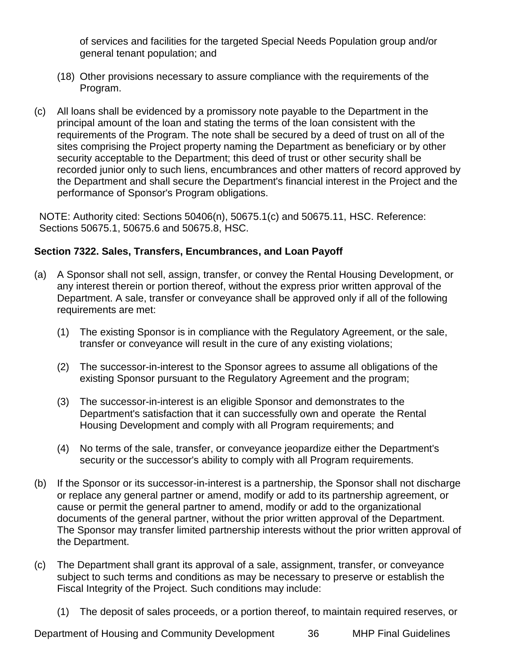of services and facilities for the targeted Special Needs Population group and/or general tenant population; and

- (18) Other provisions necessary to assure compliance with the requirements of the Program.
- (c) All loans shall be evidenced by a promissory note payable to the Department in the principal amount of the loan and stating the terms of the loan consistent with the requirements of the Program. The note shall be secured by a deed of trust on all of the sites comprising the Project property naming the Department as beneficiary or by other security acceptable to the Department; this deed of trust or other security shall be recorded junior only to such liens, encumbrances and other matters of record approved by the Department and shall secure the Department's financial interest in the Project and the performance of Sponsor's Program obligations.

NOTE: Authority cited: Sections 50406(n), 50675.1(c) and 50675.11, HSC. Reference: Sections 50675.1, 50675.6 and 50675.8, HSC.

# <span id="page-35-0"></span>**Section 7322. Sales, Transfers, Encumbrances, and Loan Payoff**

- (a) A Sponsor shall not sell, assign, transfer, or convey the Rental Housing Development, or any interest therein or portion thereof, without the express prior written approval of the Department. A sale, transfer or conveyance shall be approved only if all of the following requirements are met:
	- (1) The existing Sponsor is in compliance with the Regulatory Agreement, or the sale, transfer or conveyance will result in the cure of any existing violations;
	- (2) The successor-in-interest to the Sponsor agrees to assume all obligations of the existing Sponsor pursuant to the Regulatory Agreement and the program;
	- (3) The successor-in-interest is an eligible Sponsor and demonstrates to the Department's satisfaction that it can successfully own and operate the Rental Housing Development and comply with all Program requirements; and
	- (4) No terms of the sale, transfer, or conveyance jeopardize either the Department's security or the successor's ability to comply with all Program requirements.
- (b) If the Sponsor or its successor-in-interest is a partnership, the Sponsor shall not discharge or replace any general partner or amend, modify or add to its partnership agreement, or cause or permit the general partner to amend, modify or add to the organizational documents of the general partner, without the prior written approval of the Department. The Sponsor may transfer limited partnership interests without the prior written approval of the Department.
- (c) The Department shall grant its approval of a sale, assignment, transfer, or conveyance subject to such terms and conditions as may be necessary to preserve or establish the Fiscal Integrity of the Project. Such conditions may include:
	- (1) The deposit of sales proceeds, or a portion thereof, to maintain required reserves, or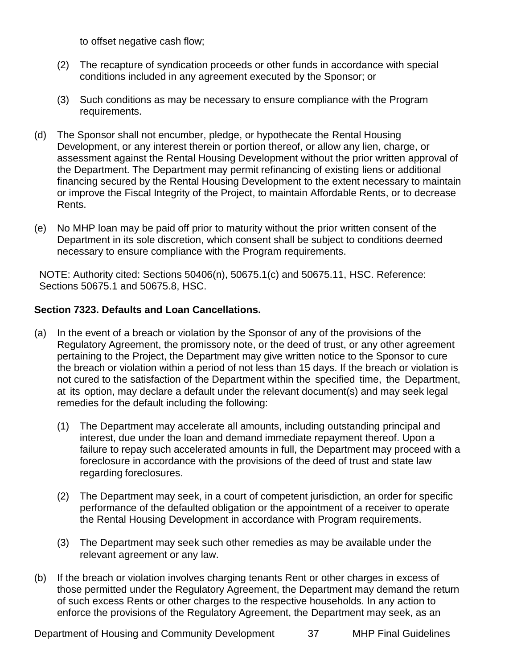to offset negative cash flow;

- (2) The recapture of syndication proceeds or other funds in accordance with special conditions included in any agreement executed by the Sponsor; or
- (3) Such conditions as may be necessary to ensure compliance with the Program requirements.
- (d) The Sponsor shall not encumber, pledge, or hypothecate the Rental Housing Development, or any interest therein or portion thereof, or allow any lien, charge, or assessment against the Rental Housing Development without the prior written approval of the Department. The Department may permit refinancing of existing liens or additional financing secured by the Rental Housing Development to the extent necessary to maintain or improve the Fiscal Integrity of the Project, to maintain Affordable Rents, or to decrease Rents.
- (e) No MHP loan may be paid off prior to maturity without the prior written consent of the Department in its sole discretion, which consent shall be subject to conditions deemed necessary to ensure compliance with the Program requirements.

NOTE: Authority cited: Sections 50406(n), 50675.1(c) and 50675.11, HSC. Reference: Sections 50675.1 and 50675.8, HSC.

# <span id="page-36-0"></span>**Section 7323. Defaults and Loan Cancellations.**

- (a) In the event of a breach or violation by the Sponsor of any of the provisions of the Regulatory Agreement, the promissory note, or the deed of trust, or any other agreement pertaining to the Project, the Department may give written notice to the Sponsor to cure the breach or violation within a period of not less than 15 days. If the breach or violation is not cured to the satisfaction of the Department within the specified time, the Department, at its option, may declare a default under the relevant document(s) and may seek legal remedies for the default including the following:
	- (1) The Department may accelerate all amounts, including outstanding principal and interest, due under the loan and demand immediate repayment thereof. Upon a failure to repay such accelerated amounts in full, the Department may proceed with a foreclosure in accordance with the provisions of the deed of trust and state law regarding foreclosures.
	- (2) The Department may seek, in a court of competent jurisdiction, an order for specific performance of the defaulted obligation or the appointment of a receiver to operate the Rental Housing Development in accordance with Program requirements.
	- (3) The Department may seek such other remedies as may be available under the relevant agreement or any law.
- (b) If the breach or violation involves charging tenants Rent or other charges in excess of those permitted under the Regulatory Agreement, the Department may demand the return of such excess Rents or other charges to the respective households. In any action to enforce the provisions of the Regulatory Agreement, the Department may seek, as an

Department of Housing and Community Development 37 MHP Final Guidelines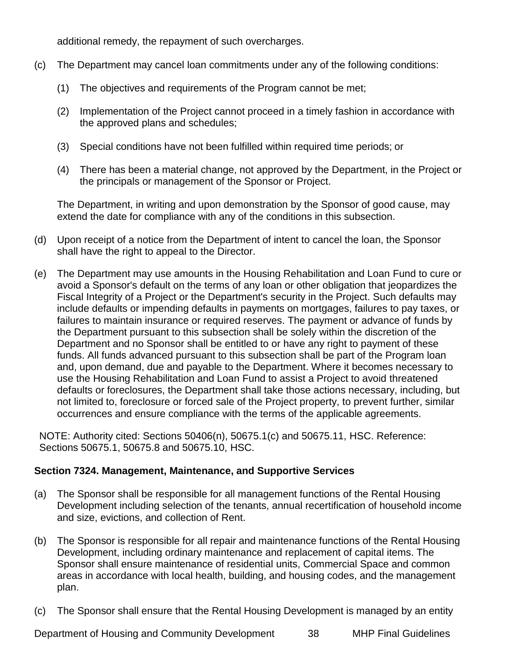additional remedy, the repayment of such overcharges.

- (c) The Department may cancel loan commitments under any of the following conditions:
	- (1) The objectives and requirements of the Program cannot be met;
	- (2) Implementation of the Project cannot proceed in a timely fashion in accordance with the approved plans and schedules;
	- (3) Special conditions have not been fulfilled within required time periods; or
	- (4) There has been a material change, not approved by the Department, in the Project or the principals or management of the Sponsor or Project.

The Department, in writing and upon demonstration by the Sponsor of good cause, may extend the date for compliance with any of the conditions in this subsection.

- (d) Upon receipt of a notice from the Department of intent to cancel the loan, the Sponsor shall have the right to appeal to the Director.
- (e) The Department may use amounts in the Housing Rehabilitation and Loan Fund to cure or avoid a Sponsor's default on the terms of any loan or other obligation that jeopardizes the Fiscal Integrity of a Project or the Department's security in the Project. Such defaults may include defaults or impending defaults in payments on mortgages, failures to pay taxes, or failures to maintain insurance or required reserves. The payment or advance of funds by the Department pursuant to this subsection shall be solely within the discretion of the Department and no Sponsor shall be entitled to or have any right to payment of these funds. All funds advanced pursuant to this subsection shall be part of the Program loan and, upon demand, due and payable to the Department. Where it becomes necessary to use the Housing Rehabilitation and Loan Fund to assist a Project to avoid threatened defaults or foreclosures, the Department shall take those actions necessary, including, but not limited to, foreclosure or forced sale of the Project property, to prevent further, similar occurrences and ensure compliance with the terms of the applicable agreements.

NOTE: Authority cited: Sections 50406(n), 50675.1(c) and 50675.11, HSC. Reference: Sections 50675.1, 50675.8 and 50675.10, HSC.

# <span id="page-37-0"></span>**Section 7324. Management, Maintenance, and Supportive Services**

- (a) The Sponsor shall be responsible for all management functions of the Rental Housing Development including selection of the tenants, annual recertification of household income and size, evictions, and collection of Rent.
- (b) The Sponsor is responsible for all repair and maintenance functions of the Rental Housing Development, including ordinary maintenance and replacement of capital items. The Sponsor shall ensure maintenance of residential units, Commercial Space and common areas in accordance with local health, building, and housing codes, and the management plan.
- (c) The Sponsor shall ensure that the Rental Housing Development is managed by an entity

Department of Housing and Community Development 38 MHP Final Guidelines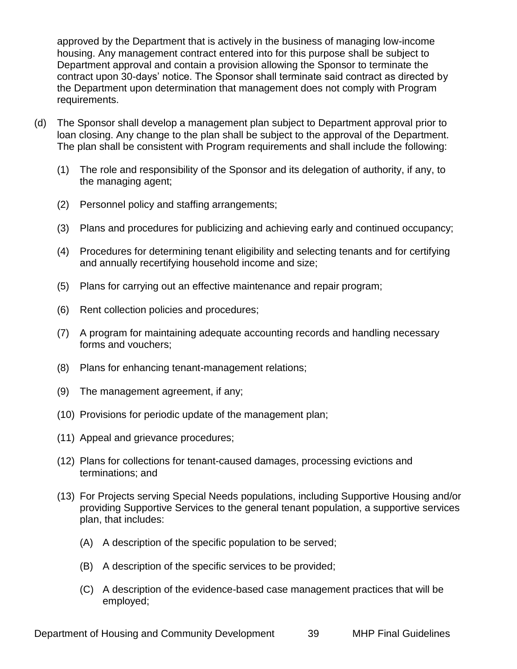approved by the Department that is actively in the business of managing low-income housing. Any management contract entered into for this purpose shall be subject to Department approval and contain a provision allowing the Sponsor to terminate the contract upon 30-days' notice. The Sponsor shall terminate said contract as directed by the Department upon determination that management does not comply with Program requirements.

- (d) The Sponsor shall develop a management plan subject to Department approval prior to loan closing. Any change to the plan shall be subject to the approval of the Department. The plan shall be consistent with Program requirements and shall include the following:
	- (1) The role and responsibility of the Sponsor and its delegation of authority, if any, to the managing agent;
	- (2) Personnel policy and staffing arrangements;
	- (3) Plans and procedures for publicizing and achieving early and continued occupancy;
	- (4) Procedures for determining tenant eligibility and selecting tenants and for certifying and annually recertifying household income and size;
	- (5) Plans for carrying out an effective maintenance and repair program;
	- (6) Rent collection policies and procedures;
	- (7) A program for maintaining adequate accounting records and handling necessary forms and vouchers;
	- (8) Plans for enhancing tenant-management relations;
	- (9) The management agreement, if any;
	- (10) Provisions for periodic update of the management plan;
	- (11) Appeal and grievance procedures;
	- (12) Plans for collections for tenant-caused damages, processing evictions and terminations; and
	- (13) For Projects serving Special Needs populations, including Supportive Housing and/or providing Supportive Services to the general tenant population, a supportive services plan, that includes:
		- (A) A description of the specific population to be served;
		- (B) A description of the specific services to be provided;
		- (C) A description of the evidence-based case management practices that will be employed;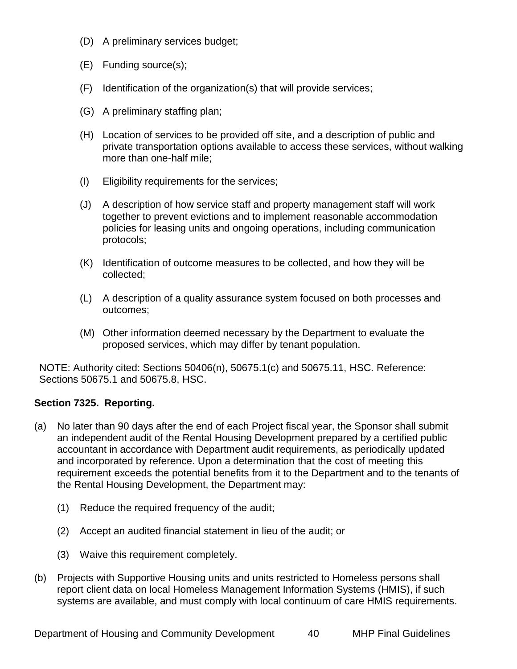- (D) A preliminary services budget;
- (E) Funding source(s);
- (F) Identification of the organization(s) that will provide services;
- (G) A preliminary staffing plan;
- (H) Location of services to be provided off site, and a description of public and private transportation options available to access these services, without walking more than one-half mile;
- (I) Eligibility requirements for the services;
- (J) A description of how service staff and property management staff will work together to prevent evictions and to implement reasonable accommodation policies for leasing units and ongoing operations, including communication protocols;
- (K) Identification of outcome measures to be collected, and how they will be collected;
- (L) A description of a quality assurance system focused on both processes and outcomes;
- (M) Other information deemed necessary by the Department to evaluate the proposed services, which may differ by tenant population.

NOTE: Authority cited: Sections 50406(n), 50675.1(c) and 50675.11, HSC. Reference: Sections 50675.1 and 50675.8, HSC.

# <span id="page-39-0"></span>**Section 7325. Reporting.**

- (a) No later than 90 days after the end of each Project fiscal year, the Sponsor shall submit an independent audit of the Rental Housing Development prepared by a certified public accountant in accordance with Department audit requirements, as periodically updated and incorporated by reference. Upon a determination that the cost of meeting this requirement exceeds the potential benefits from it to the Department and to the tenants of the Rental Housing Development, the Department may:
	- (1) Reduce the required frequency of the audit;
	- (2) Accept an audited financial statement in lieu of the audit; or
	- (3) Waive this requirement completely.
- (b) Projects with Supportive Housing units and units restricted to Homeless persons shall report client data on local Homeless Management Information Systems (HMIS), if such systems are available, and must comply with local continuum of care HMIS requirements.